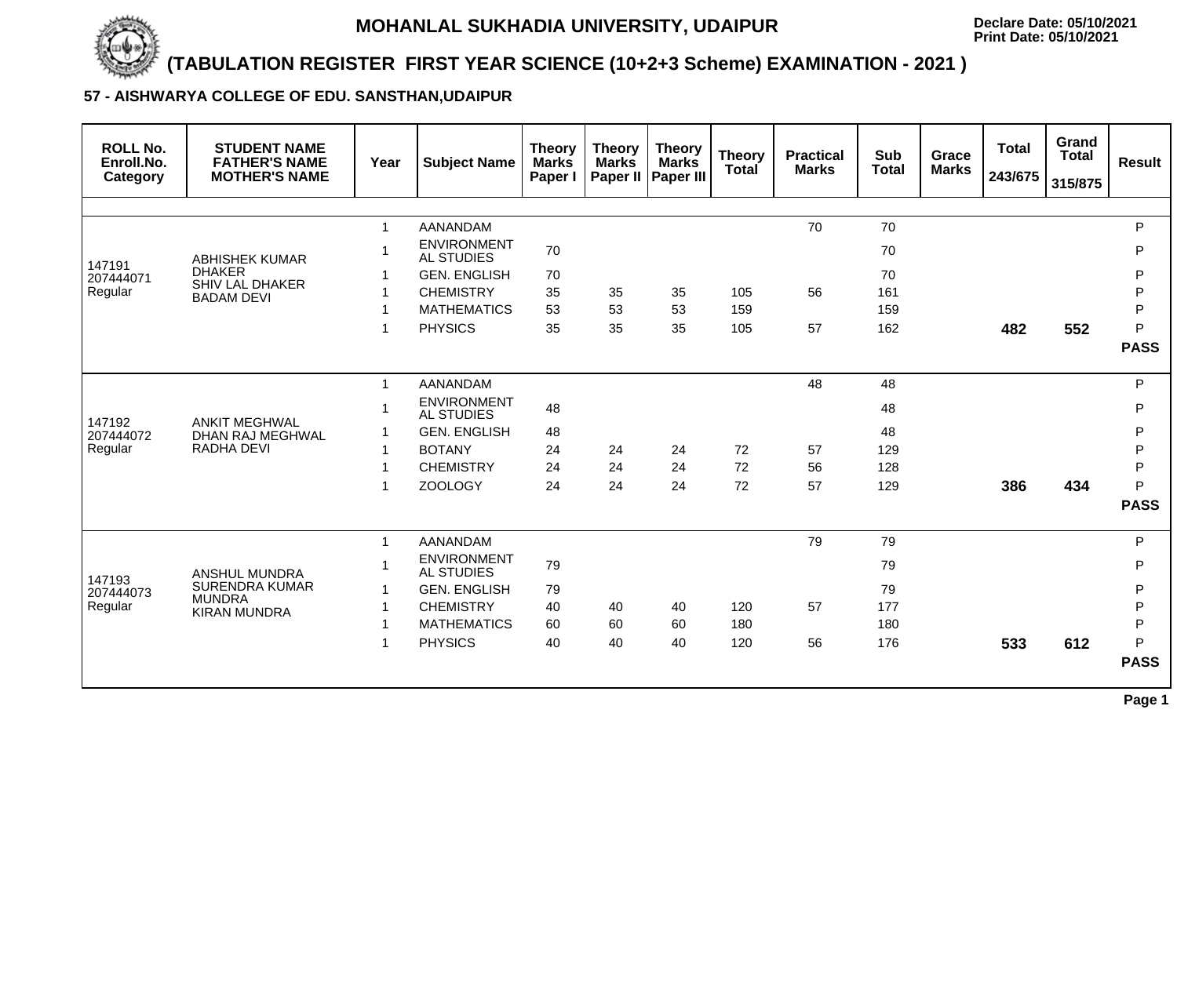

# **(TABULATION REGISTER FIRST YEAR SCIENCE (10+2+3 Scheme) EXAMINATION - 2021 )**

# **57 - AISHWARYA COLLEGE OF EDU. SANSTHAN,UDAIPUR**

| <b>STUDENT NAME</b><br><b>FATHER'S NAME</b><br><b>MOTHER'S NAME</b> | Year                                                                                                                                   | <b>Subject Name</b>                     | <b>Theory</b><br><b>Marks</b><br>Paper I | <b>Theory</b><br><b>Marks</b> | <b>Theory</b><br><b>Marks</b><br><b>Paper III</b> | <b>Theory</b><br><b>Total</b> | <b>Practical</b><br><b>Marks</b> | <b>Sub</b><br><b>Total</b> | <b>Grace</b><br><b>Marks</b> | <b>Total</b><br>243/675 | Grand<br><b>Total</b><br>315/875 | <b>Result</b>    |
|---------------------------------------------------------------------|----------------------------------------------------------------------------------------------------------------------------------------|-----------------------------------------|------------------------------------------|-------------------------------|---------------------------------------------------|-------------------------------|----------------------------------|----------------------------|------------------------------|-------------------------|----------------------------------|------------------|
|                                                                     |                                                                                                                                        |                                         |                                          |                               |                                                   |                               |                                  |                            |                              |                         |                                  |                  |
|                                                                     | $\mathbf{1}$                                                                                                                           | <b>AANANDAM</b>                         |                                          |                               |                                                   |                               | 70                               | 70                         |                              |                         |                                  | P                |
| <b>ABHISHEK KUMAR</b>                                               |                                                                                                                                        | <b>ENVIRONMENT</b><br><b>AL STUDIES</b> | 70                                       |                               |                                                   |                               |                                  | 70                         |                              |                         |                                  | P                |
| <b>DHAKER</b>                                                       |                                                                                                                                        | <b>GEN. ENGLISH</b>                     | 70                                       |                               |                                                   |                               |                                  | 70                         |                              |                         |                                  | P                |
|                                                                     | 1                                                                                                                                      | <b>CHEMISTRY</b>                        | 35                                       | 35                            | 35                                                | 105                           | 56                               | 161                        |                              |                         |                                  | P                |
|                                                                     |                                                                                                                                        | <b>MATHEMATICS</b>                      | 53                                       | 53                            | 53                                                | 159                           |                                  | 159                        |                              |                         |                                  | P                |
|                                                                     |                                                                                                                                        | <b>PHYSICS</b>                          | 35                                       | 35                            | 35                                                | 105                           | 57                               | 162                        |                              | 482                     | 552                              | P                |
|                                                                     |                                                                                                                                        |                                         |                                          |                               |                                                   |                               |                                  |                            |                              |                         |                                  | <b>PASS</b>      |
|                                                                     | $\mathbf{1}$                                                                                                                           | <b>AANANDAM</b>                         |                                          |                               |                                                   |                               | 48                               | 48                         |                              |                         |                                  | P                |
|                                                                     |                                                                                                                                        | <b>ENVIRONMENT</b><br><b>AL STUDIES</b> | 48                                       |                               |                                                   |                               |                                  | 48                         |                              |                         |                                  | P                |
|                                                                     |                                                                                                                                        | <b>GEN. ENGLISH</b>                     | 48                                       |                               |                                                   |                               |                                  | 48                         |                              |                         |                                  | P                |
| <b>RADHA DEVI</b>                                                   | $\mathbf 1$                                                                                                                            | <b>BOTANY</b>                           | 24                                       | 24                            | 24                                                | 72                            | 57                               | 129                        |                              |                         |                                  | P                |
|                                                                     |                                                                                                                                        | <b>CHEMISTRY</b>                        | 24                                       | 24                            | 24                                                | 72                            | 56                               | 128                        |                              |                         |                                  | P                |
|                                                                     | 1                                                                                                                                      | <b>ZOOLOGY</b>                          | 24                                       | 24                            | 24                                                | 72                            | 57                               | 129                        |                              | 386                     | 434                              | P<br><b>PASS</b> |
|                                                                     |                                                                                                                                        |                                         |                                          |                               |                                                   |                               |                                  |                            |                              |                         |                                  |                  |
|                                                                     | $\mathbf 1$                                                                                                                            | <b>AANANDAM</b>                         |                                          |                               |                                                   |                               | 79                               | 79                         |                              |                         |                                  | P                |
| <b>ANSHUL MUNDRA</b>                                                |                                                                                                                                        | <b>ENVIRONMENT</b><br><b>AL STUDIES</b> | 79                                       |                               |                                                   |                               |                                  | 79                         |                              |                         |                                  | P                |
| <b>SURENDRA KUMAR</b>                                               | $\mathbf 1$                                                                                                                            | <b>GEN. ENGLISH</b>                     | 79                                       |                               |                                                   |                               |                                  | 79                         |                              |                         |                                  | P                |
|                                                                     |                                                                                                                                        | <b>CHEMISTRY</b>                        | 40                                       | 40                            | 40                                                | 120                           | 57                               | 177                        |                              |                         |                                  | P                |
|                                                                     |                                                                                                                                        | <b>MATHEMATICS</b>                      | 60                                       | 60                            | 60                                                | 180                           |                                  | 180                        |                              |                         |                                  | P                |
|                                                                     | $\mathbf 1$                                                                                                                            | <b>PHYSICS</b>                          | 40                                       | 40                            | 40                                                | 120                           | 56                               | 176                        |                              | 533                     | 612                              | P                |
|                                                                     |                                                                                                                                        |                                         |                                          |                               |                                                   |                               |                                  |                            |                              |                         |                                  | <b>PASS</b>      |
|                                                                     | <b>SHIV LAL DHAKER</b><br><b>BADAM DEVI</b><br><b>ANKIT MEGHWAL</b><br><b>DHAN RAJ MEGHWAL</b><br><b>MUNDRA</b><br><b>KIRAN MUNDRA</b> |                                         |                                          |                               |                                                   | Paper II                      |                                  |                            |                              |                         |                                  |                  |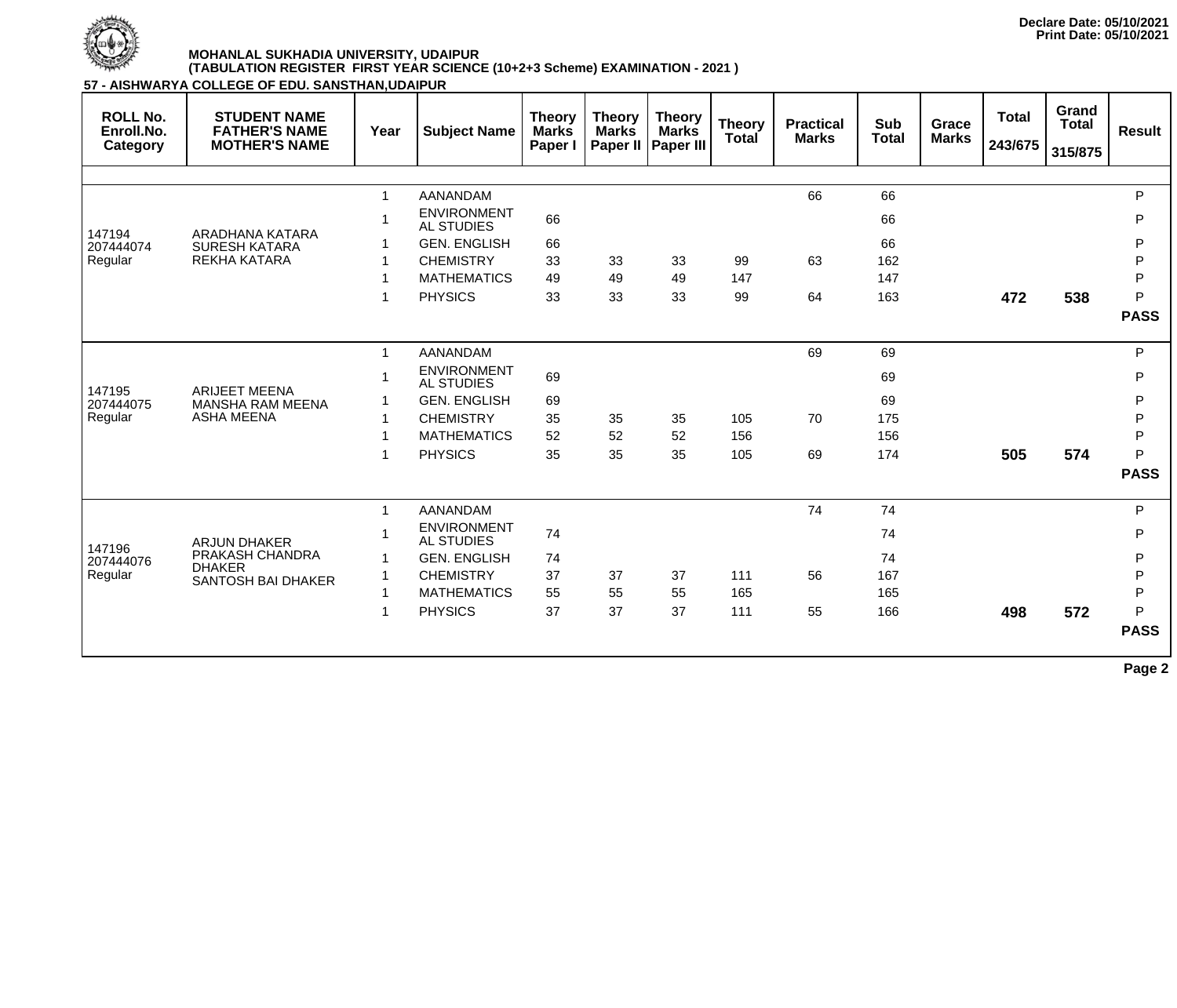

**57 - AISHWARYA COLLEGE OF EDU. SANSTHAN,UDAIPUR**

| <b>ROLL No.</b><br>Enroll.No.<br>Category | <b>STUDENT NAME</b><br><b>FATHER'S NAME</b><br><b>MOTHER'S NAME</b> | Year        | <b>Subject Name</b>                     | <b>Theory</b><br><b>Marks</b><br>Paper I | <b>Theory</b><br><b>Marks</b><br>Paper II | <b>Theory</b><br><b>Marks</b><br><b>Paper III</b> | <b>Theory</b><br><b>Total</b> | <b>Practical</b><br><b>Marks</b> | <b>Sub</b><br><b>Total</b> | Grace<br><b>Marks</b> | <b>Total</b><br>243/675 | Grand<br><b>Total</b><br>315/875 | <b>Result</b> |
|-------------------------------------------|---------------------------------------------------------------------|-------------|-----------------------------------------|------------------------------------------|-------------------------------------------|---------------------------------------------------|-------------------------------|----------------------------------|----------------------------|-----------------------|-------------------------|----------------------------------|---------------|
|                                           |                                                                     |             |                                         |                                          |                                           |                                                   |                               |                                  |                            |                       |                         |                                  |               |
|                                           |                                                                     |             | <b>AANANDAM</b>                         |                                          |                                           |                                                   |                               | 66                               | 66                         |                       |                         |                                  | P             |
|                                           |                                                                     |             | <b>ENVIRONMENT</b><br><b>AL STUDIES</b> | 66                                       |                                           |                                                   |                               |                                  | 66                         |                       |                         |                                  | P             |
| 147194<br>207444074                       | ARADHANA KATARA<br><b>SURESH KATARA</b>                             |             | <b>GEN. ENGLISH</b>                     | 66                                       |                                           |                                                   |                               |                                  | 66                         |                       |                         |                                  | P             |
| Regular                                   | <b>REKHA KATARA</b>                                                 |             | <b>CHEMISTRY</b>                        | 33                                       | 33                                        | 33                                                | 99                            | 63                               | 162                        |                       |                         |                                  | P             |
|                                           |                                                                     |             | <b>MATHEMATICS</b>                      | 49                                       | 49                                        | 49                                                | 147                           |                                  | 147                        |                       |                         |                                  | P             |
|                                           |                                                                     |             | <b>PHYSICS</b>                          | 33                                       | 33                                        | 33                                                | 99                            | 64                               | 163                        |                       | 472                     | 538                              | P             |
|                                           |                                                                     |             |                                         |                                          |                                           |                                                   |                               |                                  |                            |                       |                         |                                  | <b>PASS</b>   |
|                                           |                                                                     |             | <b>AANANDAM</b>                         |                                          |                                           |                                                   |                               | 69                               | 69                         |                       |                         |                                  | P             |
|                                           |                                                                     |             | <b>ENVIRONMENT</b><br><b>AL STUDIES</b> | 69                                       |                                           |                                                   |                               |                                  | 69                         |                       |                         |                                  | P             |
| 147195<br>207444075                       | <b>ARIJEET MEENA</b><br><b>MANSHA RAM MEENA</b>                     |             | <b>GEN. ENGLISH</b>                     | 69                                       |                                           |                                                   |                               |                                  | 69                         |                       |                         |                                  | P             |
| Regular                                   | <b>ASHA MEENA</b>                                                   |             | <b>CHEMISTRY</b>                        | 35                                       | 35                                        | 35                                                | 105                           | 70                               | 175                        |                       |                         |                                  | $\mathsf{P}$  |
|                                           |                                                                     |             | <b>MATHEMATICS</b>                      | 52                                       | 52                                        | 52                                                | 156                           |                                  | 156                        |                       |                         |                                  | P             |
|                                           |                                                                     |             | <b>PHYSICS</b>                          | 35                                       | 35                                        | 35                                                | 105                           | 69                               | 174                        |                       | 505                     | 574                              | P             |
|                                           |                                                                     |             |                                         |                                          |                                           |                                                   |                               |                                  |                            |                       |                         |                                  | <b>PASS</b>   |
|                                           |                                                                     | $\mathbf 1$ | <b>AANANDAM</b>                         |                                          |                                           |                                                   |                               | 74                               | 74                         |                       |                         |                                  | P             |
|                                           | <b>ARJUN DHAKER</b>                                                 |             | <b>ENVIRONMENT</b><br><b>AL STUDIES</b> | 74                                       |                                           |                                                   |                               |                                  | 74                         |                       |                         |                                  | P             |
| 147196<br>207444076                       | PRAKASH CHANDRA                                                     |             | <b>GEN. ENGLISH</b>                     | 74                                       |                                           |                                                   |                               |                                  | 74                         |                       |                         |                                  | P             |
| Regular                                   | <b>DHAKER</b><br><b>SANTOSH BAI DHAKER</b>                          |             | <b>CHEMISTRY</b>                        | 37                                       | 37                                        | 37                                                | 111                           | 56                               | 167                        |                       |                         |                                  | $\mathsf{P}$  |
|                                           |                                                                     |             | <b>MATHEMATICS</b>                      | 55                                       | 55                                        | 55                                                | 165                           |                                  | 165                        |                       |                         |                                  | $\mathsf{P}$  |
|                                           |                                                                     |             | <b>PHYSICS</b>                          | 37                                       | 37                                        | 37                                                | 111                           | 55                               | 166                        |                       | 498                     | 572                              | P             |
|                                           |                                                                     |             |                                         |                                          |                                           |                                                   |                               |                                  |                            |                       |                         |                                  | <b>PASS</b>   |
|                                           |                                                                     |             |                                         |                                          |                                           |                                                   |                               |                                  |                            |                       |                         |                                  | $\sim$        |

**Page 2**

**Declare Date: 05/10/2021 Print Date: 05/10/2021**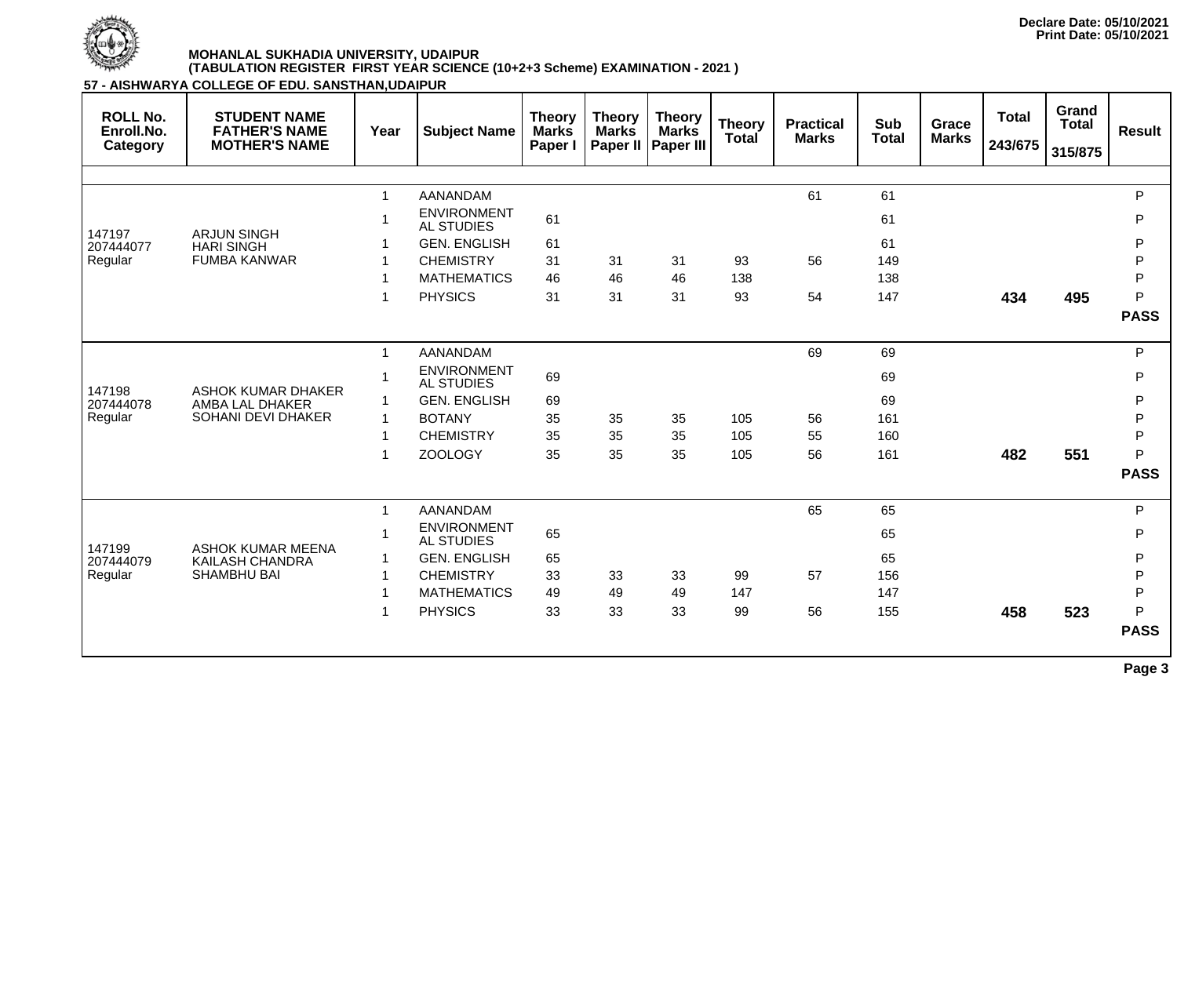

| <b>ROLL No.</b><br>Enroll.No.<br>Category | <b>STUDENT NAME</b><br><b>FATHER'S NAME</b><br><b>MOTHER'S NAME</b> | Year         | <b>Subject Name</b>                     | <b>Theory</b><br><b>Marks</b><br>Paper I | <b>Theory</b><br><b>Marks</b> | <b>Theory</b><br><b>Marks</b><br>Paper II   Paper III | <b>Theory</b><br><b>Total</b> | <b>Practical</b><br><b>Marks</b> | <b>Sub</b><br><b>Total</b> | Grace<br><b>Marks</b> | <b>Total</b><br>243/675 | Grand<br><b>Total</b><br>315/875 | <b>Result</b> |
|-------------------------------------------|---------------------------------------------------------------------|--------------|-----------------------------------------|------------------------------------------|-------------------------------|-------------------------------------------------------|-------------------------------|----------------------------------|----------------------------|-----------------------|-------------------------|----------------------------------|---------------|
|                                           |                                                                     |              |                                         |                                          |                               |                                                       |                               |                                  |                            |                       |                         |                                  |               |
|                                           |                                                                     | $\mathbf 1$  | <b>AANANDAM</b>                         |                                          |                               |                                                       |                               | 61                               | 61                         |                       |                         |                                  | $\mathsf{P}$  |
| 147197                                    | <b>ARJUN SINGH</b>                                                  | 1            | <b>ENVIRONMENT</b><br><b>AL STUDIES</b> | 61                                       |                               |                                                       |                               |                                  | 61                         |                       |                         |                                  | $\mathsf{P}$  |
| 207444077                                 | <b>HARI SINGH</b>                                                   |              | <b>GEN. ENGLISH</b>                     | 61                                       |                               |                                                       |                               |                                  | 61                         |                       |                         |                                  | ${\sf P}$     |
| Regular                                   | <b>FUMBA KANWAR</b>                                                 | $\mathbf 1$  | <b>CHEMISTRY</b>                        | 31                                       | 31                            | 31                                                    | 93                            | 56                               | 149                        |                       |                         |                                  | ${\sf P}$     |
|                                           |                                                                     |              | <b>MATHEMATICS</b>                      | 46                                       | 46                            | 46                                                    | 138                           |                                  | 138                        |                       |                         |                                  | $\mathsf{P}$  |
|                                           |                                                                     | $\mathbf 1$  | <b>PHYSICS</b>                          | 31                                       | 31                            | 31                                                    | 93                            | 54                               | 147                        |                       | 434                     | 495                              | P             |
|                                           |                                                                     |              |                                         |                                          |                               |                                                       |                               |                                  |                            |                       |                         |                                  | <b>PASS</b>   |
|                                           |                                                                     | $\mathbf{1}$ | <b>AANANDAM</b>                         |                                          |                               |                                                       |                               | 69                               | 69                         |                       |                         |                                  | $\mathsf{P}$  |
|                                           |                                                                     | 1            | <b>ENVIRONMENT</b><br><b>AL STUDIES</b> | 69                                       |                               |                                                       |                               |                                  | 69                         |                       |                         |                                  | $\mathsf{P}$  |
| 147198<br>207444078                       | <b>ASHOK KUMAR DHAKER</b><br>AMBA LAL DHAKER                        | $\mathbf 1$  | <b>GEN. ENGLISH</b>                     | 69                                       |                               |                                                       |                               |                                  | 69                         |                       |                         |                                  | ${\sf P}$     |
| Regular                                   | <b>SOHANI DEVI DHAKER</b>                                           | $\mathbf 1$  | <b>BOTANY</b>                           | 35                                       | 35                            | 35                                                    | 105                           | 56                               | 161                        |                       |                         |                                  | ${\sf P}$     |
|                                           |                                                                     | $\mathbf 1$  | <b>CHEMISTRY</b>                        | 35                                       | 35                            | 35                                                    | 105                           | 55                               | 160                        |                       |                         |                                  | $\mathsf{P}$  |
|                                           |                                                                     | 1            | <b>ZOOLOGY</b>                          | 35                                       | 35                            | 35                                                    | 105                           | 56                               | 161                        |                       | 482                     | 551                              | P             |
|                                           |                                                                     |              |                                         |                                          |                               |                                                       |                               |                                  |                            |                       |                         |                                  | <b>PASS</b>   |
|                                           |                                                                     | $\mathbf{1}$ | <b>AANANDAM</b>                         |                                          |                               |                                                       |                               | 65                               | 65                         |                       |                         |                                  | ${\sf P}$     |
|                                           |                                                                     | $\mathbf 1$  | <b>ENVIRONMENT</b><br><b>AL STUDIES</b> | 65                                       |                               |                                                       |                               |                                  | 65                         |                       |                         |                                  | $\mathsf{P}$  |
| 147199<br>207444079                       | <b>ASHOK KUMAR MEENA</b><br><b>KAILASH CHANDRA</b>                  | $\mathbf 1$  | <b>GEN. ENGLISH</b>                     | 65                                       |                               |                                                       |                               |                                  | 65                         |                       |                         |                                  | ${\sf P}$     |
| Regular                                   | <b>SHAMBHU BAI</b>                                                  | $\mathbf 1$  | <b>CHEMISTRY</b>                        | 33                                       | 33                            | 33                                                    | 99                            | 57                               | 156                        |                       |                         |                                  | $\sf P$       |
|                                           |                                                                     | 1            | <b>MATHEMATICS</b>                      | 49                                       | 49                            | 49                                                    | 147                           |                                  | 147                        |                       |                         |                                  | $\mathsf{P}$  |
|                                           |                                                                     | 1            | <b>PHYSICS</b>                          | 33                                       | 33                            | 33                                                    | 99                            | 56                               | 155                        |                       | 458                     | 523                              | P             |
|                                           |                                                                     |              |                                         |                                          |                               |                                                       |                               |                                  |                            |                       |                         |                                  | <b>PASS</b>   |
|                                           |                                                                     |              |                                         |                                          |                               |                                                       |                               |                                  |                            |                       |                         |                                  | Page 3        |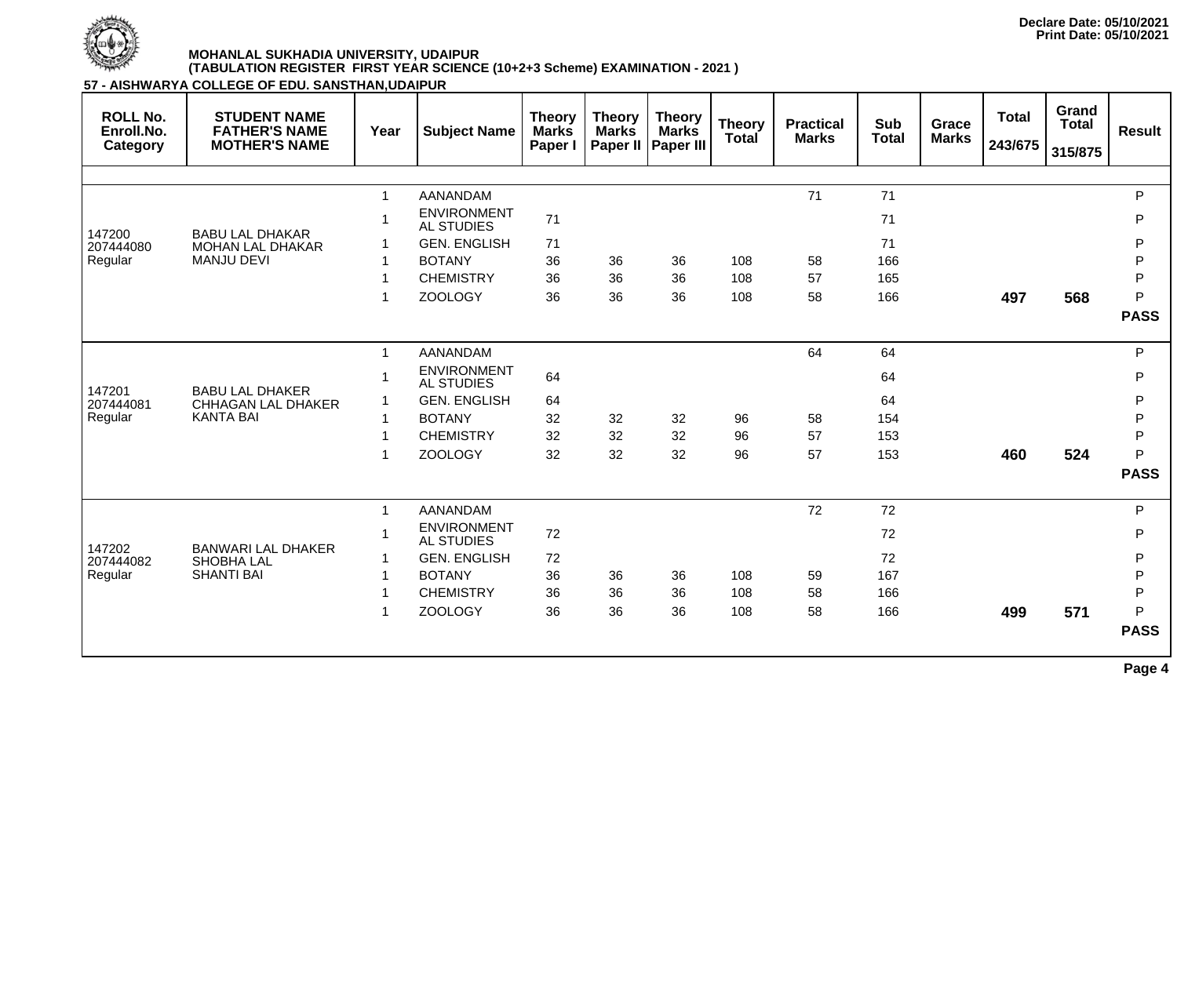

**57 - AISHWARYA COLLEGE OF EDU. SANSTHAN,UDAIPUR**

| <b>ROLL No.</b><br>Enroll.No.<br>Category | <b>STUDENT NAME</b><br><b>FATHER'S NAME</b><br><b>MOTHER'S NAME</b> | Year         | <b>Subject Name</b>                     | <b>Theory</b><br><b>Marks</b><br>Paper I | <b>Theory</b><br><b>Marks</b><br>Paper II | <b>Theory</b><br><b>Marks</b><br><b>Paper III</b> | <b>Theory</b><br><b>Total</b> | <b>Practical</b><br><b>Marks</b> | <b>Sub</b><br><b>Total</b> | Grace<br><b>Marks</b> | <b>Total</b><br>243/675 | Grand<br><b>Total</b><br>315/875 | <b>Result</b> |
|-------------------------------------------|---------------------------------------------------------------------|--------------|-----------------------------------------|------------------------------------------|-------------------------------------------|---------------------------------------------------|-------------------------------|----------------------------------|----------------------------|-----------------------|-------------------------|----------------------------------|---------------|
|                                           |                                                                     |              |                                         |                                          |                                           |                                                   |                               |                                  |                            |                       |                         |                                  |               |
|                                           |                                                                     | $\mathbf{1}$ | <b>AANANDAM</b>                         |                                          |                                           |                                                   |                               | 71                               | 71                         |                       |                         |                                  | P             |
|                                           |                                                                     |              | <b>ENVIRONMENT</b><br><b>AL STUDIES</b> | 71                                       |                                           |                                                   |                               |                                  | 71                         |                       |                         |                                  | P             |
| 147200<br>207444080                       | <b>BABU LAL DHAKAR</b><br><b>MOHAN LAL DHAKAR</b>                   |              | <b>GEN. ENGLISH</b>                     | 71                                       |                                           |                                                   |                               |                                  | 71                         |                       |                         |                                  | P             |
| Regular                                   | <b>MANJU DEVI</b>                                                   |              | <b>BOTANY</b>                           | 36                                       | 36                                        | 36                                                | 108                           | 58                               | 166                        |                       |                         |                                  | $\mathsf{P}$  |
|                                           |                                                                     |              | <b>CHEMISTRY</b>                        | 36                                       | 36                                        | 36                                                | 108                           | 57                               | 165                        |                       |                         |                                  | P             |
|                                           |                                                                     |              | <b>ZOOLOGY</b>                          | 36                                       | 36                                        | 36                                                | 108                           | 58                               | 166                        |                       | 497                     | 568                              | P             |
|                                           |                                                                     |              |                                         |                                          |                                           |                                                   |                               |                                  |                            |                       |                         |                                  | <b>PASS</b>   |
|                                           |                                                                     | $\mathbf{1}$ | <b>AANANDAM</b>                         |                                          |                                           |                                                   |                               | 64                               | 64                         |                       |                         |                                  | P             |
|                                           |                                                                     |              | <b>ENVIRONMENT</b><br>AL STUDIES        | 64                                       |                                           |                                                   |                               |                                  | 64                         |                       |                         |                                  | P             |
| 147201<br>207444081                       | <b>BABU LAL DHAKER</b><br><b>CHHAGAN LAL DHAKER</b>                 |              | <b>GEN. ENGLISH</b>                     | 64                                       |                                           |                                                   |                               |                                  | 64                         |                       |                         |                                  | P             |
| Regular                                   | <b>KANTA BAI</b>                                                    |              | <b>BOTANY</b>                           | 32                                       | 32                                        | 32                                                | 96                            | 58                               | 154                        |                       |                         |                                  | $\mathsf{P}$  |
|                                           |                                                                     |              | <b>CHEMISTRY</b>                        | 32                                       | 32                                        | 32                                                | 96                            | 57                               | 153                        |                       |                         |                                  | P             |
|                                           |                                                                     |              | <b>ZOOLOGY</b>                          | 32                                       | 32                                        | 32                                                | 96                            | 57                               | 153                        |                       | 460                     | 524                              | P             |
|                                           |                                                                     |              |                                         |                                          |                                           |                                                   |                               |                                  |                            |                       |                         |                                  | <b>PASS</b>   |
|                                           |                                                                     | $\mathbf{1}$ | <b>AANANDAM</b>                         |                                          |                                           |                                                   |                               | 72                               | 72                         |                       |                         |                                  | P             |
|                                           |                                                                     |              | <b>ENVIRONMENT</b><br><b>AL STUDIES</b> | 72                                       |                                           |                                                   |                               |                                  | 72                         |                       |                         |                                  | P             |
| 147202<br>207444082                       | <b>BANWARI LAL DHAKER</b><br><b>SHOBHA LAL</b>                      |              | <b>GEN. ENGLISH</b>                     | 72                                       |                                           |                                                   |                               |                                  | 72                         |                       |                         |                                  | $\mathsf{P}$  |
| Regular                                   | <b>SHANTI BAI</b>                                                   |              | <b>BOTANY</b>                           | 36                                       | 36                                        | 36                                                | 108                           | 59                               | 167                        |                       |                         |                                  | P             |
|                                           |                                                                     |              | <b>CHEMISTRY</b>                        | 36                                       | 36                                        | 36                                                | 108                           | 58                               | 166                        |                       |                         |                                  | P             |
|                                           |                                                                     |              | <b>ZOOLOGY</b>                          | 36                                       | 36                                        | 36                                                | 108                           | 58                               | 166                        |                       | 499                     | 571                              | P             |
|                                           |                                                                     |              |                                         |                                          |                                           |                                                   |                               |                                  |                            |                       |                         |                                  | <b>PASS</b>   |
|                                           |                                                                     |              |                                         |                                          |                                           |                                                   |                               |                                  |                            |                       |                         |                                  |               |

**Page 4**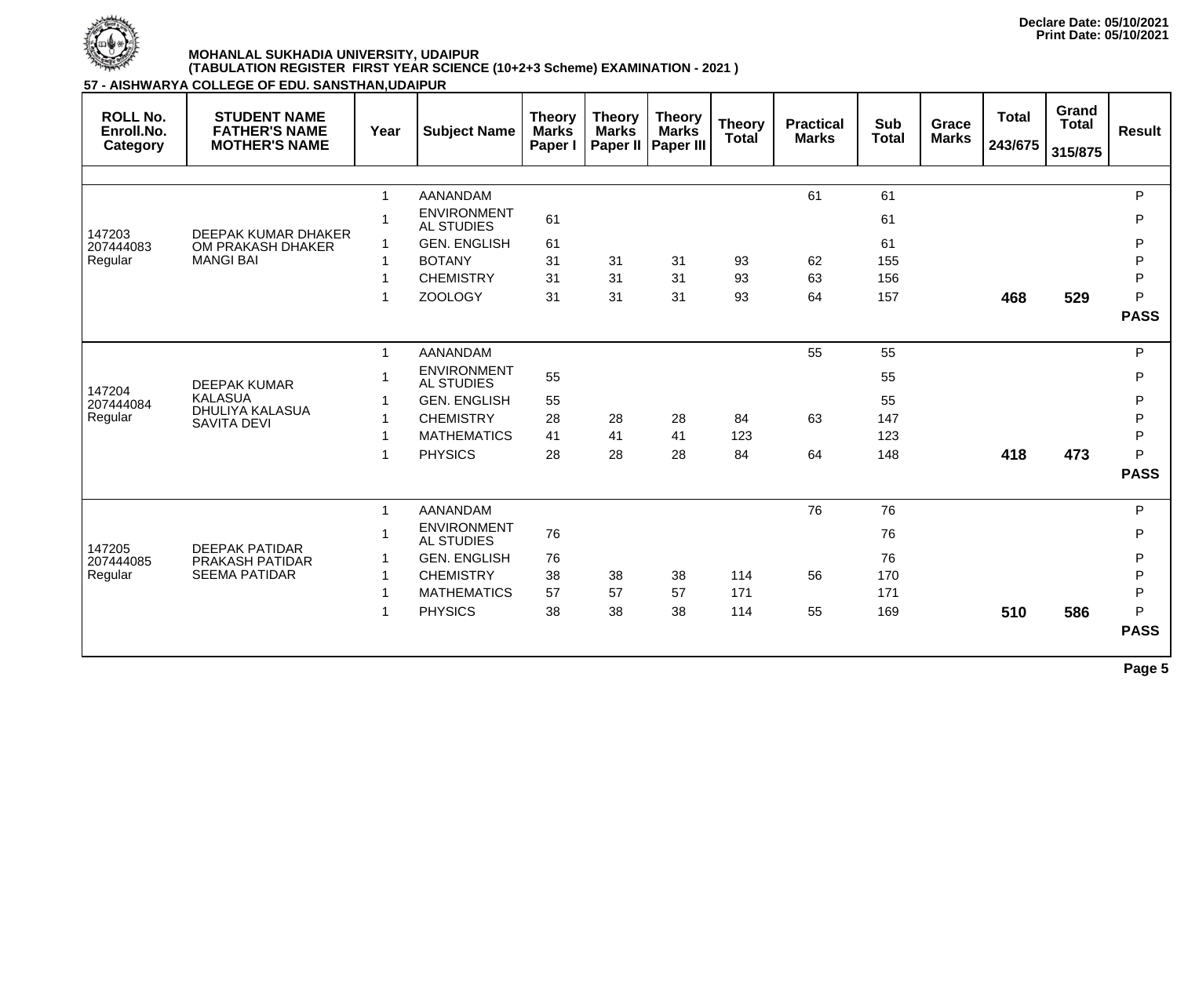

**57 - AISHWARYA COLLEGE OF EDU. SANSTHAN,UDAIPUR**

| <b>ROLL No.</b><br>Enroll.No.<br>Category | <b>STUDENT NAME</b><br><b>FATHER'S NAME</b><br><b>MOTHER'S NAME</b> | Year                 | <b>Subject Name</b>                     | <b>Theory</b><br><b>Marks</b><br>Paper I | <b>Theory</b><br><b>Marks</b><br>Paper II | <b>Theory</b><br><b>Marks</b><br><b>Paper III</b> | <b>Theory</b><br><b>Total</b> | <b>Practical</b><br><b>Marks</b> | <b>Sub</b><br><b>Total</b> | Grace<br><b>Marks</b> | <b>Total</b><br>243/675 | Grand<br><b>Total</b><br>315/875 | <b>Result</b> |
|-------------------------------------------|---------------------------------------------------------------------|----------------------|-----------------------------------------|------------------------------------------|-------------------------------------------|---------------------------------------------------|-------------------------------|----------------------------------|----------------------------|-----------------------|-------------------------|----------------------------------|---------------|
|                                           |                                                                     |                      |                                         |                                          |                                           |                                                   |                               |                                  |                            |                       |                         |                                  |               |
|                                           |                                                                     | $\mathbf{1}$         | <b>AANANDAM</b>                         |                                          |                                           |                                                   |                               | 61                               | 61                         |                       |                         |                                  | P             |
|                                           |                                                                     |                      | <b>ENVIRONMENT</b><br><b>AL STUDIES</b> | 61                                       |                                           |                                                   |                               |                                  | 61                         |                       |                         |                                  | P             |
| 147203                                    | <b>DEEPAK KUMAR DHAKER</b>                                          |                      | <b>GEN. ENGLISH</b>                     | 61                                       |                                           |                                                   |                               |                                  | 61                         |                       |                         |                                  | P             |
| 207444083<br>Regular                      | OM PRAKASH DHAKER<br><b>MANGI BAI</b>                               |                      | <b>BOTANY</b>                           | 31                                       | 31                                        | 31                                                | 93                            | 62                               | 155                        |                       |                         |                                  | P             |
|                                           |                                                                     |                      | <b>CHEMISTRY</b>                        | 31                                       | 31                                        | 31                                                | 93                            | 63                               | 156                        |                       |                         |                                  | P             |
|                                           |                                                                     |                      | <b>ZOOLOGY</b>                          | 31                                       | 31                                        | 31                                                | 93                            | 64                               | 157                        |                       | 468                     | 529                              | P             |
|                                           |                                                                     |                      |                                         |                                          |                                           |                                                   |                               |                                  |                            |                       |                         |                                  | <b>PASS</b>   |
|                                           |                                                                     | $\blacktriangleleft$ | <b>AANANDAM</b>                         |                                          |                                           |                                                   |                               | 55                               | 55                         |                       |                         |                                  | P             |
|                                           | <b>DEEPAK KUMAR</b>                                                 |                      | <b>ENVIRONMENT</b><br><b>AL STUDIES</b> | 55                                       |                                           |                                                   |                               |                                  | 55                         |                       |                         |                                  | P             |
| 147204<br>207444084                       | <b>KALASUA</b>                                                      |                      | <b>GEN. ENGLISH</b>                     | 55                                       |                                           |                                                   |                               |                                  | 55                         |                       |                         |                                  | P             |
| Regular                                   | DHULIYA KALASUA<br><b>SAVITA DEVI</b>                               |                      | <b>CHEMISTRY</b>                        | 28                                       | 28                                        | 28                                                | 84                            | 63                               | 147                        |                       |                         |                                  | $\mathsf{P}$  |
|                                           |                                                                     |                      | <b>MATHEMATICS</b>                      | 41                                       | 41                                        | 41                                                | 123                           |                                  | 123                        |                       |                         |                                  | $\mathsf{P}$  |
|                                           |                                                                     |                      | <b>PHYSICS</b>                          | 28                                       | 28                                        | 28                                                | 84                            | 64                               | 148                        |                       | 418                     | 473                              | P             |
|                                           |                                                                     |                      |                                         |                                          |                                           |                                                   |                               |                                  |                            |                       |                         |                                  | <b>PASS</b>   |
|                                           |                                                                     | $\blacktriangleleft$ | <b>AANANDAM</b>                         |                                          |                                           |                                                   |                               | 76                               | 76                         |                       |                         |                                  | P             |
|                                           |                                                                     |                      | <b>ENVIRONMENT</b><br><b>AL STUDIES</b> | 76                                       |                                           |                                                   |                               |                                  | 76                         |                       |                         |                                  | P             |
| 147205<br>207444085                       | <b>DEEPAK PATIDAR</b><br>PRAKASH PATIDAR                            |                      | <b>GEN. ENGLISH</b>                     | 76                                       |                                           |                                                   |                               |                                  | 76                         |                       |                         |                                  | P             |
| Regular                                   | <b>SEEMA PATIDAR</b>                                                |                      | <b>CHEMISTRY</b>                        | 38                                       | 38                                        | 38                                                | 114                           | 56                               | 170                        |                       |                         |                                  | $\mathsf{P}$  |
|                                           |                                                                     |                      | <b>MATHEMATICS</b>                      | 57                                       | 57                                        | 57                                                | 171                           |                                  | 171                        |                       |                         |                                  | $\mathsf{P}$  |
|                                           |                                                                     |                      | <b>PHYSICS</b>                          | 38                                       | 38                                        | 38                                                | 114                           | 55                               | 169                        |                       | 510                     | 586                              | P             |
|                                           |                                                                     |                      |                                         |                                          |                                           |                                                   |                               |                                  |                            |                       |                         |                                  | <b>PASS</b>   |
|                                           |                                                                     |                      |                                         |                                          |                                           |                                                   |                               |                                  |                            |                       |                         |                                  | $\sim$        |

**Page 5**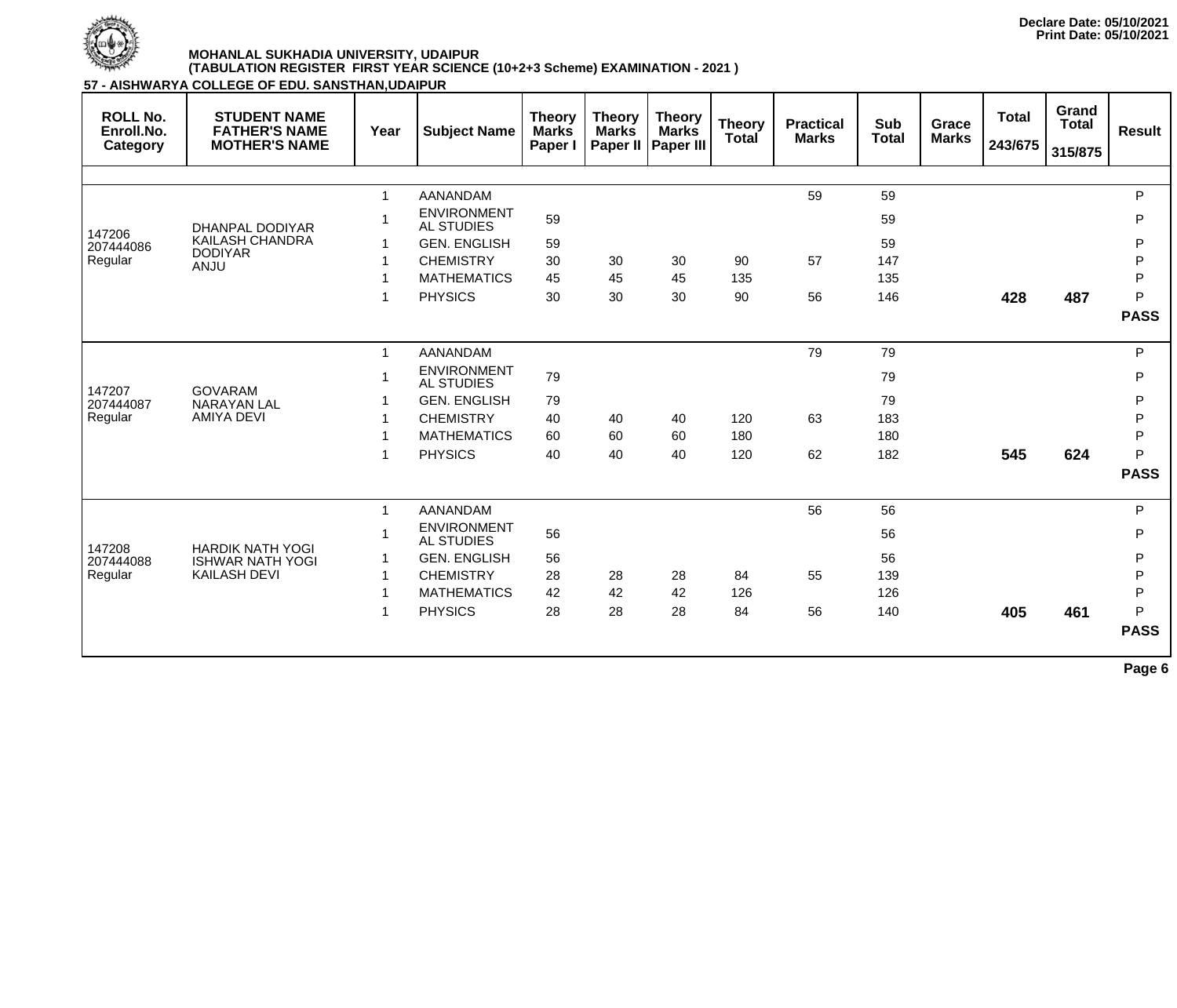

**57 - AISHWARYA COLLEGE OF EDU. SANSTHAN,UDAIPUR**

| <b>ROLL No.</b><br>Enroll.No.<br>Category | <b>STUDENT NAME</b><br><b>FATHER'S NAME</b><br><b>MOTHER'S NAME</b> | Year         | <b>Subject Name</b>                     | <b>Theory</b><br><b>Marks</b><br>Paper I | <b>Theory</b><br><b>Marks</b><br>Paper II | <b>Theory</b><br><b>Marks</b><br><b>Paper III</b> | <b>Theory</b><br><b>Total</b> | <b>Practical</b><br><b>Marks</b> | <b>Sub</b><br><b>Total</b> | Grace<br><b>Marks</b> | <b>Total</b><br>243/675 | Grand<br><b>Total</b><br>315/875 | <b>Result</b> |
|-------------------------------------------|---------------------------------------------------------------------|--------------|-----------------------------------------|------------------------------------------|-------------------------------------------|---------------------------------------------------|-------------------------------|----------------------------------|----------------------------|-----------------------|-------------------------|----------------------------------|---------------|
|                                           |                                                                     |              |                                         |                                          |                                           |                                                   |                               |                                  |                            |                       |                         |                                  |               |
|                                           |                                                                     | $\mathbf{1}$ | <b>AANANDAM</b>                         |                                          |                                           |                                                   |                               | 59                               | 59                         |                       |                         |                                  | P             |
|                                           | <b>DHANPAL DODIYAR</b>                                              |              | <b>ENVIRONMENT</b><br><b>AL STUDIES</b> | 59                                       |                                           |                                                   |                               |                                  | 59                         |                       |                         |                                  | P             |
| 147206<br>207444086                       | <b>KAILASH CHANDRA</b>                                              |              | <b>GEN. ENGLISH</b>                     | 59                                       |                                           |                                                   |                               |                                  | 59                         |                       |                         |                                  | P             |
| Regular                                   | <b>DODIYAR</b><br><b>ANJU</b>                                       |              | <b>CHEMISTRY</b>                        | 30                                       | 30                                        | 30                                                | 90                            | 57                               | 147                        |                       |                         |                                  | P             |
|                                           |                                                                     |              | <b>MATHEMATICS</b>                      | 45                                       | 45                                        | 45                                                | 135                           |                                  | 135                        |                       |                         |                                  | P             |
|                                           |                                                                     |              | <b>PHYSICS</b>                          | 30                                       | 30                                        | 30                                                | 90                            | 56                               | 146                        |                       | 428                     | 487                              | P             |
|                                           |                                                                     |              |                                         |                                          |                                           |                                                   |                               |                                  |                            |                       |                         |                                  | <b>PASS</b>   |
|                                           |                                                                     |              | <b>AANANDAM</b>                         |                                          |                                           |                                                   |                               | 79                               | 79                         |                       |                         |                                  | P             |
|                                           |                                                                     |              | <b>ENVIRONMENT</b><br><b>AL STUDIES</b> | 79                                       |                                           |                                                   |                               |                                  | 79                         |                       |                         |                                  | P             |
| 147207<br>207444087                       | <b>GOVARAM</b><br><b>NARAYAN LAL</b>                                |              | <b>GEN. ENGLISH</b>                     | 79                                       |                                           |                                                   |                               |                                  | 79                         |                       |                         |                                  | P             |
| Regular                                   | <b>AMIYA DEVI</b>                                                   |              | <b>CHEMISTRY</b>                        | 40                                       | 40                                        | 40                                                | 120                           | 63                               | 183                        |                       |                         |                                  | P             |
|                                           |                                                                     |              | <b>MATHEMATICS</b>                      | 60                                       | 60                                        | 60                                                | 180                           |                                  | 180                        |                       |                         |                                  | P             |
|                                           |                                                                     |              | <b>PHYSICS</b>                          | 40                                       | 40                                        | 40                                                | 120                           | 62                               | 182                        |                       | 545                     | 624                              | P             |
|                                           |                                                                     |              |                                         |                                          |                                           |                                                   |                               |                                  |                            |                       |                         |                                  | <b>PASS</b>   |
|                                           |                                                                     | $\mathbf{1}$ | <b>AANANDAM</b>                         |                                          |                                           |                                                   |                               | 56                               | 56                         |                       |                         |                                  | P             |
|                                           |                                                                     |              | <b>ENVIRONMENT</b><br><b>AL STUDIES</b> | 56                                       |                                           |                                                   |                               |                                  | 56                         |                       |                         |                                  | P             |
| 147208<br>207444088                       | <b>HARDIK NATH YOGI</b><br><b>ISHWAR NATH YOGI</b>                  |              | <b>GEN. ENGLISH</b>                     | 56                                       |                                           |                                                   |                               |                                  | 56                         |                       |                         |                                  | P             |
| Regular                                   | <b>KAILASH DEVI</b>                                                 |              | <b>CHEMISTRY</b>                        | 28                                       | 28                                        | 28                                                | 84                            | 55                               | 139                        |                       |                         |                                  | P             |
|                                           |                                                                     |              | <b>MATHEMATICS</b>                      | 42                                       | 42                                        | 42                                                | 126                           |                                  | 126                        |                       |                         |                                  | P             |
|                                           |                                                                     |              | <b>PHYSICS</b>                          | 28                                       | 28                                        | 28                                                | 84                            | 56                               | 140                        |                       | 405                     | 461                              | P             |
|                                           |                                                                     |              |                                         |                                          |                                           |                                                   |                               |                                  |                            |                       |                         |                                  | <b>PASS</b>   |
|                                           |                                                                     |              |                                         |                                          |                                           |                                                   |                               |                                  |                            |                       |                         |                                  |               |

**Page 6**

**Declare Date: 05/10/2021 Print Date: 05/10/2021**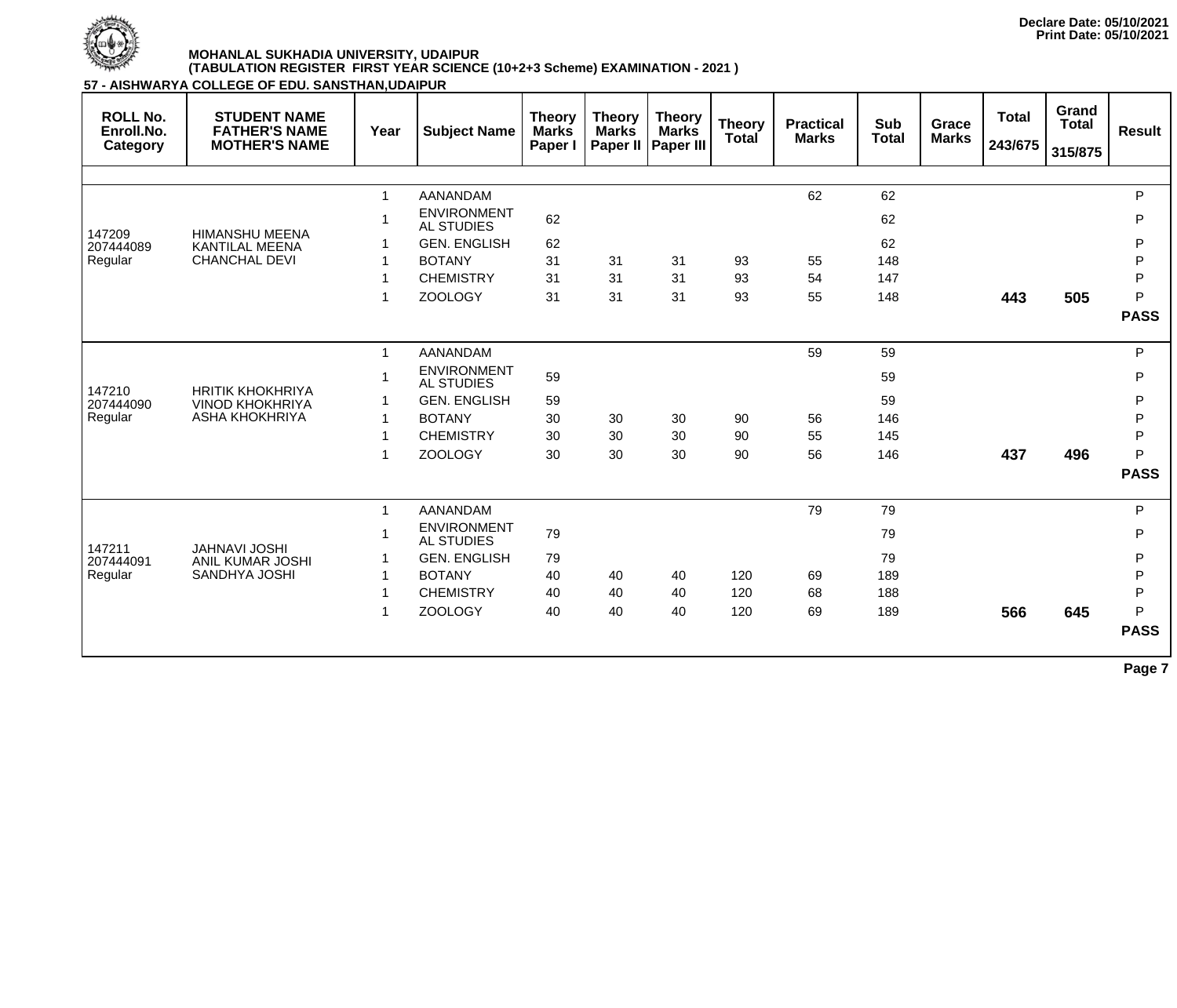

**57 - AISHWARYA COLLEGE OF EDU. SANSTHAN,UDAIPUR**

| <b>ROLL No.</b><br>Enroll.No.<br>Category | <b>STUDENT NAME</b><br><b>FATHER'S NAME</b><br><b>MOTHER'S NAME</b> | Year                 | <b>Subject Name</b>                     | <b>Theory</b><br><b>Marks</b><br>Paper I | <b>Theory</b><br><b>Marks</b><br>Paper II | <b>Theory</b><br><b>Marks</b><br><b>Paper III</b> | <b>Theory</b><br><b>Total</b> | <b>Practical</b><br><b>Marks</b> | <b>Sub</b><br><b>Total</b> | <b>Grace</b><br><b>Marks</b> | <b>Total</b><br>243/675 | Grand<br><b>Total</b><br>315/875 | <b>Result</b> |
|-------------------------------------------|---------------------------------------------------------------------|----------------------|-----------------------------------------|------------------------------------------|-------------------------------------------|---------------------------------------------------|-------------------------------|----------------------------------|----------------------------|------------------------------|-------------------------|----------------------------------|---------------|
|                                           |                                                                     |                      |                                         |                                          |                                           |                                                   |                               |                                  |                            |                              |                         |                                  |               |
|                                           |                                                                     | $\mathbf{1}$         | <b>AANANDAM</b>                         |                                          |                                           |                                                   |                               | 62                               | 62                         |                              |                         |                                  | P             |
| 147209                                    | <b>HIMANSHU MEENA</b>                                               | -1                   | <b>ENVIRONMENT</b><br><b>AL STUDIES</b> | 62                                       |                                           |                                                   |                               |                                  | 62                         |                              |                         |                                  | P             |
| 207444089                                 | <b>KANTILAL MEENA</b>                                               |                      | <b>GEN. ENGLISH</b>                     | 62                                       |                                           |                                                   |                               |                                  | 62                         |                              |                         |                                  | P             |
| Regular                                   | <b>CHANCHAL DEVI</b>                                                |                      | <b>BOTANY</b>                           | 31                                       | 31                                        | 31                                                | 93                            | 55                               | 148                        |                              |                         |                                  | $\mathsf{P}$  |
|                                           |                                                                     | -1                   | <b>CHEMISTRY</b>                        | 31                                       | 31                                        | 31                                                | 93                            | 54                               | 147                        |                              |                         |                                  | P             |
|                                           |                                                                     | $\blacktriangleleft$ | <b>ZOOLOGY</b>                          | 31                                       | 31                                        | 31                                                | 93                            | 55                               | 148                        |                              | 443                     | 505                              | P             |
|                                           |                                                                     |                      |                                         |                                          |                                           |                                                   |                               |                                  |                            |                              |                         |                                  | <b>PASS</b>   |
|                                           |                                                                     | $\mathbf{1}$         | AANANDAM                                |                                          |                                           |                                                   |                               | 59                               | 59                         |                              |                         |                                  | P             |
|                                           |                                                                     | $\blacktriangleleft$ | <b>ENVIRONMENT</b><br><b>AL STUDIES</b> | 59                                       |                                           |                                                   |                               |                                  | 59                         |                              |                         |                                  | P             |
| 147210<br>207444090                       | <b>HRITIK KHOKHRIYA</b><br><b>VINOD KHOKHRIYA</b>                   |                      | <b>GEN. ENGLISH</b>                     | 59                                       |                                           |                                                   |                               |                                  | 59                         |                              |                         |                                  | P             |
| Regular                                   | <b>ASHA KHOKHRIYA</b>                                               | $\mathbf 1$          | <b>BOTANY</b>                           | 30                                       | 30                                        | 30                                                | 90                            | 56                               | 146                        |                              |                         |                                  | $\mathsf{P}$  |
|                                           |                                                                     | 1                    | <b>CHEMISTRY</b>                        | 30                                       | 30                                        | 30                                                | 90                            | 55                               | 145                        |                              |                         |                                  | P             |
|                                           |                                                                     | 1                    | <b>ZOOLOGY</b>                          | 30                                       | 30                                        | 30                                                | 90                            | 56                               | 146                        |                              | 437                     | 496                              | P             |
|                                           |                                                                     |                      |                                         |                                          |                                           |                                                   |                               |                                  |                            |                              |                         |                                  | <b>PASS</b>   |
|                                           |                                                                     | $\mathbf{1}$         | <b>AANANDAM</b>                         |                                          |                                           |                                                   |                               | 79                               | 79                         |                              |                         |                                  | P             |
|                                           | <b>JAHNAVI JOSHI</b>                                                |                      | <b>ENVIRONMENT</b><br><b>AL STUDIES</b> | 79                                       |                                           |                                                   |                               |                                  | 79                         |                              |                         |                                  | P             |
| 147211<br>207444091                       | <b>ANIL KUMAR JOSHI</b>                                             |                      | <b>GEN. ENGLISH</b>                     | 79                                       |                                           |                                                   |                               |                                  | 79                         |                              |                         |                                  | P             |
| Regular                                   | <b>SANDHYA JOSHI</b>                                                |                      | <b>BOTANY</b>                           | 40                                       | 40                                        | 40                                                | 120                           | 69                               | 189                        |                              |                         |                                  | P             |
|                                           |                                                                     |                      | <b>CHEMISTRY</b>                        | 40                                       | 40                                        | 40                                                | 120                           | 68                               | 188                        |                              |                         |                                  | $\mathsf{P}$  |
|                                           |                                                                     | 1                    | <b>ZOOLOGY</b>                          | 40                                       | 40                                        | 40                                                | 120                           | 69                               | 189                        |                              | 566                     | 645                              | P             |
|                                           |                                                                     |                      |                                         |                                          |                                           |                                                   |                               |                                  |                            |                              |                         |                                  | <b>PASS</b>   |
|                                           |                                                                     |                      |                                         |                                          |                                           |                                                   |                               |                                  |                            |                              |                         |                                  |               |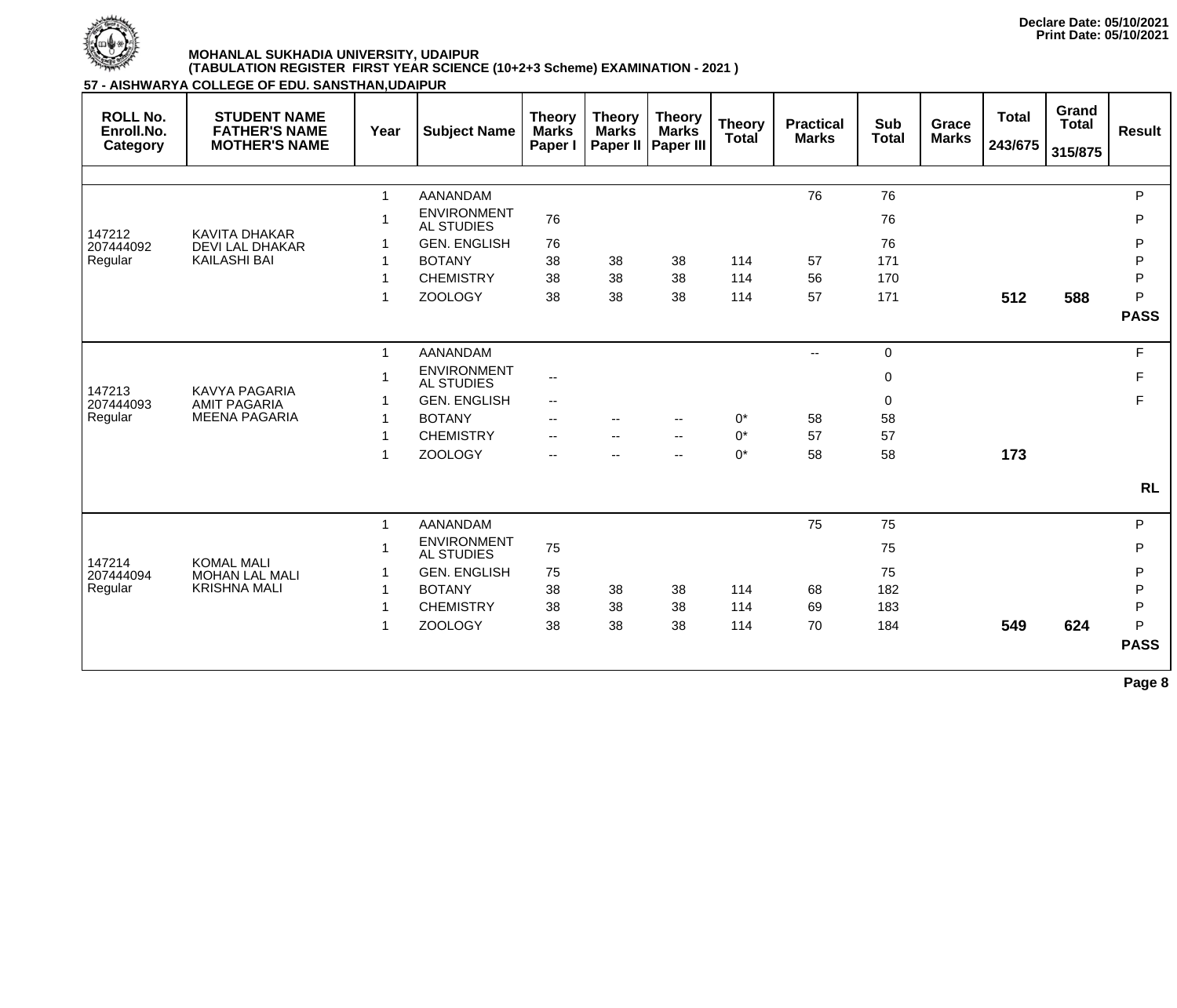

**57 - AISHWARYA COLLEGE OF EDU. SANSTHAN,UDAIPUR**

| <b>ROLL No.</b><br>Enroll.No.<br>Category | <b>STUDENT NAME</b><br><b>FATHER'S NAME</b><br><b>MOTHER'S NAME</b> | Year                 | <b>Subject Name</b>                     | <b>Theory</b><br><b>Marks</b><br>Paper I | <b>Theory</b><br><b>Marks</b><br>Paper II | <b>Theory</b><br><b>Marks</b><br><b>Paper III</b> | <b>Theory</b><br><b>Total</b> | <b>Practical</b><br><b>Marks</b> | <b>Sub</b><br><b>Total</b> | <b>Grace</b><br><b>Marks</b> | <b>Total</b><br>243/675 | Grand<br><b>Total</b><br>315/875 | <b>Result</b> |
|-------------------------------------------|---------------------------------------------------------------------|----------------------|-----------------------------------------|------------------------------------------|-------------------------------------------|---------------------------------------------------|-------------------------------|----------------------------------|----------------------------|------------------------------|-------------------------|----------------------------------|---------------|
|                                           |                                                                     |                      |                                         |                                          |                                           |                                                   |                               |                                  |                            |                              |                         |                                  |               |
|                                           |                                                                     |                      | <b>AANANDAM</b>                         |                                          |                                           |                                                   |                               | 76                               | 76                         |                              |                         |                                  | P             |
| 147212                                    | <b>KAVITA DHAKAR</b>                                                |                      | <b>ENVIRONMENT</b><br><b>AL STUDIES</b> | 76                                       |                                           |                                                   |                               |                                  | 76                         |                              |                         |                                  | P             |
| 207444092                                 | <b>DEVI LAL DHAKAR</b>                                              |                      | <b>GEN. ENGLISH</b>                     | 76                                       |                                           |                                                   |                               |                                  | 76                         |                              |                         |                                  | P             |
| Regular                                   | <b>KAILASHI BAI</b>                                                 |                      | <b>BOTANY</b>                           | 38                                       | 38                                        | 38                                                | 114                           | 57                               | 171                        |                              |                         |                                  | $\mathsf{P}$  |
|                                           |                                                                     |                      | <b>CHEMISTRY</b>                        | 38                                       | 38                                        | 38                                                | 114                           | 56                               | 170                        |                              |                         |                                  | $\mathsf{P}$  |
|                                           |                                                                     |                      | <b>ZOOLOGY</b>                          | 38                                       | 38                                        | 38                                                | 114                           | 57                               | 171                        |                              | 512                     | 588                              | P             |
|                                           |                                                                     |                      |                                         |                                          |                                           |                                                   |                               |                                  |                            |                              |                         |                                  | <b>PASS</b>   |
|                                           |                                                                     | $\mathbf 1$          | AANANDAM                                |                                          |                                           |                                                   |                               | $- -$                            | $\overline{0}$             |                              |                         |                                  | F             |
|                                           |                                                                     |                      | <b>ENVIRONMENT</b><br><b>AL STUDIES</b> | $\overline{\phantom{m}}$                 |                                           |                                                   |                               |                                  | $\mathbf 0$                |                              |                         |                                  | F             |
| 147213<br>207444093                       | <b>KAVYA PAGARIA</b><br><b>AMIT PAGARIA</b>                         |                      | <b>GEN. ENGLISH</b>                     | $\overline{\phantom{a}}$                 |                                           |                                                   |                               |                                  | $\mathbf 0$                |                              |                         |                                  | F             |
| Regular                                   | <b>MEENA PAGARIA</b>                                                |                      | <b>BOTANY</b>                           | $-$                                      |                                           | $-$                                               | $0^*$                         | 58                               | 58                         |                              |                         |                                  |               |
|                                           |                                                                     |                      | <b>CHEMISTRY</b>                        | $-$                                      |                                           | $-$                                               | $0^*$                         | 57                               | 57                         |                              |                         |                                  |               |
|                                           |                                                                     |                      | <b>ZOOLOGY</b>                          | $\overline{\phantom{a}}$                 |                                           | $-$                                               | $0^*$                         | 58                               | 58                         |                              | 173                     |                                  |               |
|                                           |                                                                     |                      |                                         |                                          |                                           |                                                   |                               |                                  |                            |                              |                         |                                  | <b>RL</b>     |
|                                           |                                                                     | $\blacktriangleleft$ | <b>AANANDAM</b>                         |                                          |                                           |                                                   |                               | 75                               | 75                         |                              |                         |                                  | P             |
| 147214                                    | <b>KOMAL MALI</b>                                                   |                      | <b>ENVIRONMENT</b><br><b>AL STUDIES</b> | 75                                       |                                           |                                                   |                               |                                  | 75                         |                              |                         |                                  | P             |
| 207444094                                 | <b>MOHAN LAL MALI</b>                                               |                      | <b>GEN. ENGLISH</b>                     | 75                                       |                                           |                                                   |                               |                                  | 75                         |                              |                         |                                  | P             |
| Regular                                   | <b>KRISHNA MALI</b>                                                 |                      | <b>BOTANY</b>                           | 38                                       | 38                                        | 38                                                | 114                           | 68                               | 182                        |                              |                         |                                  | $\mathsf{P}$  |
|                                           |                                                                     |                      | <b>CHEMISTRY</b>                        | 38                                       | 38                                        | 38                                                | 114                           | 69                               | 183                        |                              |                         |                                  | P             |
|                                           |                                                                     |                      | <b>ZOOLOGY</b>                          | 38                                       | 38                                        | 38                                                | 114                           | 70                               | 184                        |                              | 549                     | 624                              | P             |
|                                           |                                                                     |                      |                                         |                                          |                                           |                                                   |                               |                                  |                            |                              |                         |                                  | <b>PASS</b>   |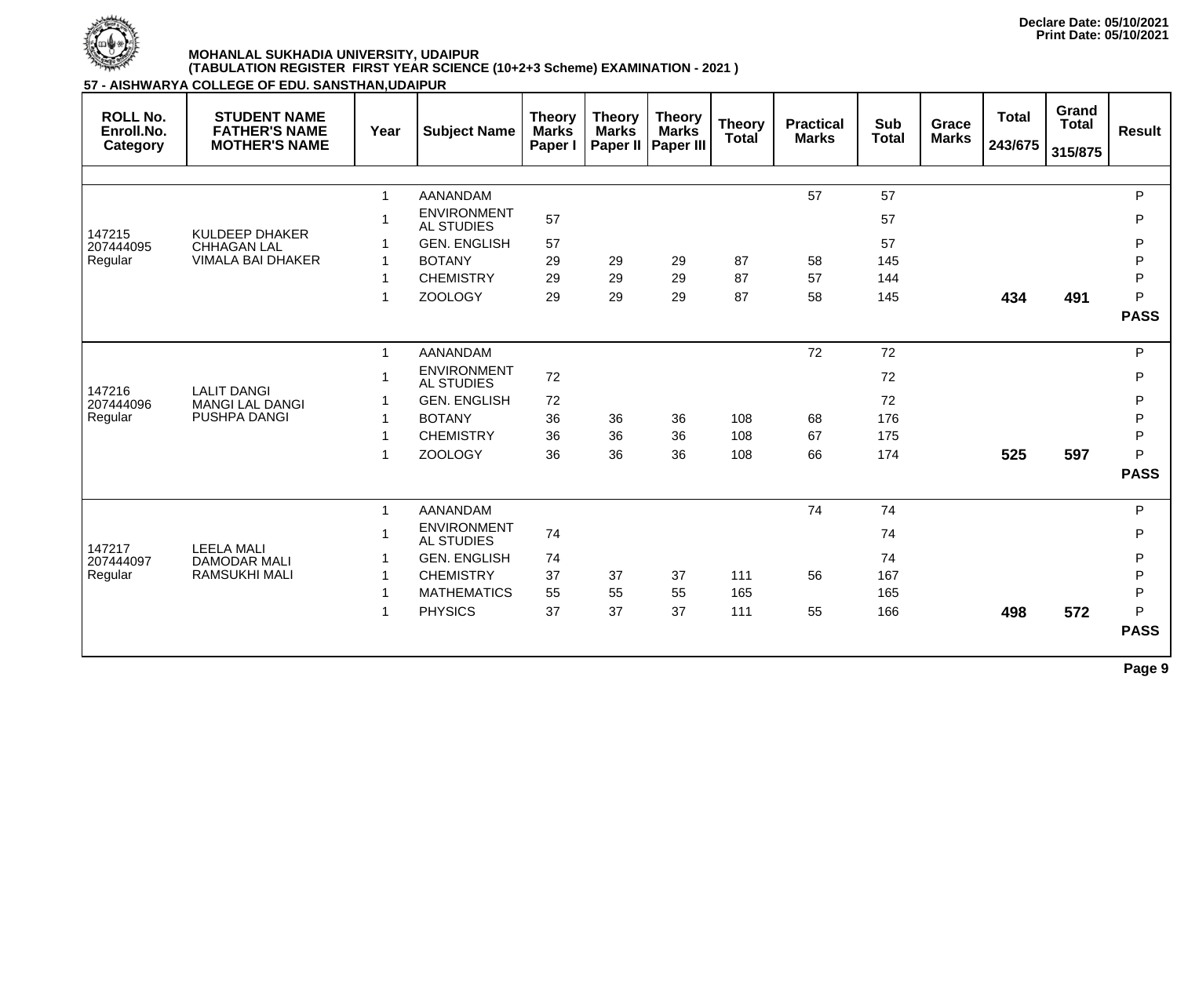

| <b>ROLL No.</b><br>Enroll.No.<br>Category | <b>STUDENT NAME</b><br><b>FATHER'S NAME</b><br><b>MOTHER'S NAME</b> | Year         | <b>Subject Name</b>                     | <b>Theory</b><br><b>Marks</b><br>Paper I | <b>Theory</b><br><b>Marks</b><br>Paper II | <b>Theory</b><br><b>Marks</b><br><b>Paper III</b> | <b>Theory</b><br>Total | <b>Practical</b><br><b>Marks</b> | <b>Sub</b><br><b>Total</b> | Grace<br><b>Marks</b> | <b>Total</b><br>243/675 | Grand<br><b>Total</b><br>315/875 | <b>Result</b> |
|-------------------------------------------|---------------------------------------------------------------------|--------------|-----------------------------------------|------------------------------------------|-------------------------------------------|---------------------------------------------------|------------------------|----------------------------------|----------------------------|-----------------------|-------------------------|----------------------------------|---------------|
|                                           |                                                                     |              |                                         |                                          |                                           |                                                   |                        |                                  |                            |                       |                         |                                  |               |
|                                           |                                                                     | -1           | <b>AANANDAM</b>                         |                                          |                                           |                                                   |                        | 57                               | 57                         |                       |                         |                                  | $\mathsf{P}$  |
| 147215                                    | <b>KULDEEP DHAKER</b>                                               |              | <b>ENVIRONMENT</b><br><b>AL STUDIES</b> | 57                                       |                                           |                                                   |                        |                                  | 57                         |                       |                         |                                  | $\mathsf{P}$  |
| 207444095                                 | <b>CHHAGAN LAL</b>                                                  |              | <b>GEN. ENGLISH</b>                     | 57                                       |                                           |                                                   |                        |                                  | 57                         |                       |                         |                                  | ${\sf P}$     |
| Regular                                   | <b>VIMALA BAI DHAKER</b>                                            |              | <b>BOTANY</b>                           | 29                                       | 29                                        | 29                                                | 87                     | 58                               | 145                        |                       |                         |                                  | ${\sf P}$     |
|                                           |                                                                     |              | <b>CHEMISTRY</b>                        | 29                                       | 29                                        | 29                                                | 87                     | 57                               | 144                        |                       |                         |                                  | $\mathsf{P}$  |
|                                           |                                                                     | -1           | <b>ZOOLOGY</b>                          | 29                                       | 29                                        | 29                                                | 87                     | 58                               | 145                        |                       | 434                     | 491                              | P             |
|                                           |                                                                     |              |                                         |                                          |                                           |                                                   |                        |                                  |                            |                       |                         |                                  | <b>PASS</b>   |
|                                           |                                                                     | -1           | <b>AANANDAM</b>                         |                                          |                                           |                                                   |                        | 72                               | 72                         |                       |                         |                                  | $\mathsf{P}$  |
|                                           |                                                                     |              | <b>ENVIRONMENT</b><br><b>AL STUDIES</b> | $72\,$                                   |                                           |                                                   |                        |                                  | 72                         |                       |                         |                                  | $\mathsf{P}$  |
| 147216<br>207444096                       | <b>LALIT DANGI</b><br><b>MANGI LAL DANGI</b>                        |              | <b>GEN. ENGLISH</b>                     | 72                                       |                                           |                                                   |                        |                                  | 72                         |                       |                         |                                  | ${\sf P}$     |
| Regular                                   | <b>PUSHPA DANGI</b>                                                 |              | <b>BOTANY</b>                           | 36                                       | 36                                        | 36                                                | 108                    | 68                               | 176                        |                       |                         |                                  | ${\sf P}$     |
|                                           |                                                                     |              | <b>CHEMISTRY</b>                        | 36                                       | 36                                        | 36                                                | 108                    | 67                               | 175                        |                       |                         |                                  | ${\sf P}$     |
|                                           |                                                                     |              | <b>ZOOLOGY</b>                          | 36                                       | 36                                        | 36                                                | 108                    | 66                               | 174                        |                       | 525                     | 597                              | P             |
|                                           |                                                                     |              |                                         |                                          |                                           |                                                   |                        |                                  |                            |                       |                         |                                  | <b>PASS</b>   |
|                                           |                                                                     | $\mathbf{1}$ | AANANDAM                                |                                          |                                           |                                                   |                        | 74                               | 74                         |                       |                         |                                  | ${\sf P}$     |
|                                           |                                                                     |              | <b>ENVIRONMENT</b><br><b>AL STUDIES</b> | 74                                       |                                           |                                                   |                        |                                  | 74                         |                       |                         |                                  | $\mathsf{P}$  |
| 147217<br>207444097                       | <b>LEELA MALI</b><br><b>DAMODAR MALI</b>                            |              | <b>GEN. ENGLISH</b>                     | 74                                       |                                           |                                                   |                        |                                  | 74                         |                       |                         |                                  | P             |
| Regular                                   | <b>RAMSUKHI MALI</b>                                                |              | <b>CHEMISTRY</b>                        | 37                                       | 37                                        | 37                                                | 111                    | 56                               | 167                        |                       |                         |                                  | $\mathsf{P}$  |
|                                           |                                                                     |              | <b>MATHEMATICS</b>                      | 55                                       | 55                                        | 55                                                | 165                    |                                  | 165                        |                       |                         |                                  | $\mathsf{P}$  |
|                                           |                                                                     | -1           | <b>PHYSICS</b>                          | 37                                       | 37                                        | 37                                                | 111                    | 55                               | 166                        |                       | 498                     | 572                              | P             |
|                                           |                                                                     |              |                                         |                                          |                                           |                                                   |                        |                                  |                            |                       |                         |                                  | <b>PASS</b>   |
|                                           |                                                                     |              |                                         |                                          |                                           |                                                   |                        |                                  |                            |                       |                         |                                  | Page 9        |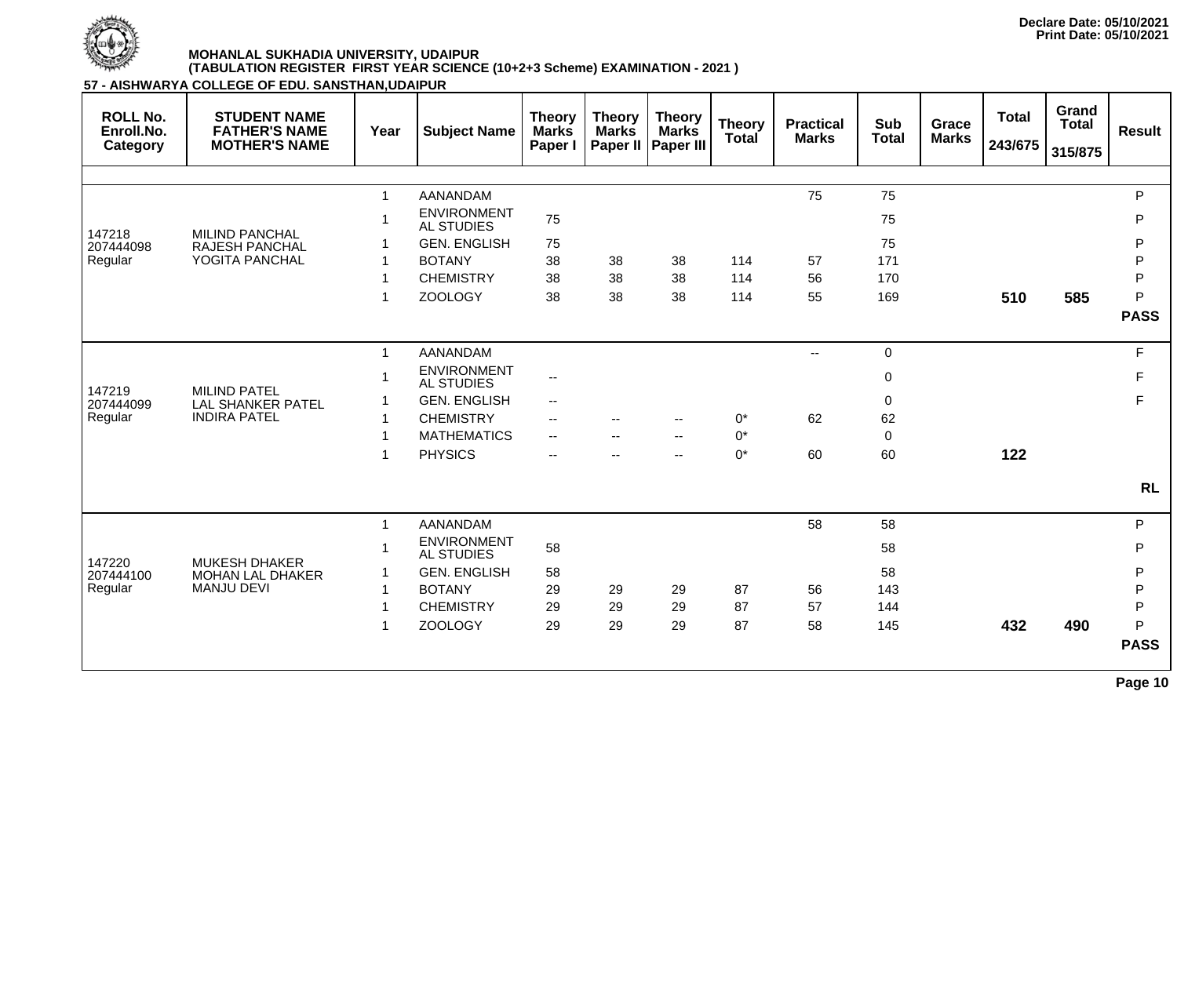

**57 - AISHWARYA COLLEGE OF EDU. SANSTHAN,UDAIPUR**

| <b>ROLL No.</b><br>Enroll.No.<br>Category | <b>STUDENT NAME</b><br><b>FATHER'S NAME</b><br><b>MOTHER'S NAME</b> | Year         | <b>Subject Name</b>                     | <b>Theory</b><br><b>Marks</b><br>Paper I | <b>Theory</b><br><b>Marks</b><br>Paper II | <b>Theory</b><br><b>Marks</b><br><b>Paper III</b> | <b>Theory</b><br>Total | <b>Practical</b><br><b>Marks</b> | <b>Sub</b><br><b>Total</b> | <b>Grace</b><br><b>Marks</b> | <b>Total</b><br>243/675 | Grand<br><b>Total</b><br>315/875 | <b>Result</b> |
|-------------------------------------------|---------------------------------------------------------------------|--------------|-----------------------------------------|------------------------------------------|-------------------------------------------|---------------------------------------------------|------------------------|----------------------------------|----------------------------|------------------------------|-------------------------|----------------------------------|---------------|
|                                           |                                                                     |              |                                         |                                          |                                           |                                                   |                        |                                  |                            |                              |                         |                                  |               |
|                                           |                                                                     | $\mathbf{1}$ | <b>AANANDAM</b>                         |                                          |                                           |                                                   |                        | 75                               | 75                         |                              |                         |                                  | P             |
|                                           |                                                                     |              | <b>ENVIRONMENT</b><br><b>AL STUDIES</b> | 75                                       |                                           |                                                   |                        |                                  | 75                         |                              |                         |                                  | P             |
| 147218<br>207444098                       | <b>MILIND PANCHAL</b><br><b>RAJESH PANCHAL</b>                      |              | <b>GEN. ENGLISH</b>                     | 75                                       |                                           |                                                   |                        |                                  | 75                         |                              |                         |                                  | P             |
| Regular                                   | YOGITA PANCHAL                                                      |              | <b>BOTANY</b>                           | 38                                       | 38                                        | 38                                                | 114                    | 57                               | 171                        |                              |                         |                                  | P             |
|                                           |                                                                     |              | <b>CHEMISTRY</b>                        | 38                                       | 38                                        | 38                                                | 114                    | 56                               | 170                        |                              |                         |                                  | $\sf P$       |
|                                           |                                                                     |              | <b>ZOOLOGY</b>                          | 38                                       | 38                                        | 38                                                | 114                    | 55                               | 169                        |                              | 510                     | 585                              | P             |
|                                           |                                                                     |              |                                         |                                          |                                           |                                                   |                        |                                  |                            |                              |                         |                                  | <b>PASS</b>   |
|                                           |                                                                     | $\mathbf{1}$ | <b>AANANDAM</b>                         |                                          |                                           |                                                   |                        | $\overline{\phantom{a}}$         | $\mathbf 0$                |                              |                         |                                  | F             |
|                                           |                                                                     |              | <b>ENVIRONMENT</b><br><b>AL STUDIES</b> | $\overline{\phantom{a}}$                 |                                           |                                                   |                        |                                  | $\mathbf 0$                |                              |                         |                                  | F             |
| 147219<br>207444099                       | <b>MILIND PATEL</b><br><b>LAL SHANKER PATEL</b>                     |              | <b>GEN. ENGLISH</b>                     | $\overline{\phantom{a}}$                 |                                           |                                                   |                        |                                  | $\mathbf 0$                |                              |                         |                                  | F             |
| Regular                                   | <b>INDIRA PATEL</b>                                                 |              | <b>CHEMISTRY</b>                        | $\overline{\phantom{a}}$                 | $-$                                       | $-$                                               | $0^*$                  | 62                               | 62                         |                              |                         |                                  |               |
|                                           |                                                                     |              | <b>MATHEMATICS</b>                      | $\overline{\phantom{a}}$                 |                                           | $-$                                               | $0^*$                  |                                  | $\mathbf 0$                |                              |                         |                                  |               |
|                                           |                                                                     | -1           | <b>PHYSICS</b>                          | $\overline{\phantom{a}}$                 |                                           | $\overline{\phantom{a}}$                          | $0^*$                  | 60                               | 60                         |                              | 122                     |                                  |               |
|                                           |                                                                     |              |                                         |                                          |                                           |                                                   |                        |                                  |                            |                              |                         |                                  | <b>RL</b>     |
|                                           |                                                                     | $\mathbf{1}$ | <b>AANANDAM</b>                         |                                          |                                           |                                                   |                        | 58                               | 58                         |                              |                         |                                  | P             |
|                                           |                                                                     |              | <b>ENVIRONMENT</b><br><b>AL STUDIES</b> | 58                                       |                                           |                                                   |                        |                                  | 58                         |                              |                         |                                  | P             |
| 147220<br>207444100                       | <b>MUKESH DHAKER</b><br><b>MOHAN LAL DHAKER</b>                     | -1           | <b>GEN. ENGLISH</b>                     | 58                                       |                                           |                                                   |                        |                                  | 58                         |                              |                         |                                  | P             |
| Regular                                   | <b>MANJU DEVI</b>                                                   |              | <b>BOTANY</b>                           | 29                                       | 29                                        | 29                                                | 87                     | 56                               | 143                        |                              |                         |                                  | $\mathsf{P}$  |
|                                           |                                                                     |              | <b>CHEMISTRY</b>                        | 29                                       | 29                                        | 29                                                | 87                     | 57                               | 144                        |                              |                         |                                  | P             |
|                                           |                                                                     |              | <b>ZOOLOGY</b>                          | 29                                       | 29                                        | 29                                                | 87                     | 58                               | 145                        |                              | 432                     | 490                              | P             |
|                                           |                                                                     |              |                                         |                                          |                                           |                                                   |                        |                                  |                            |                              |                         |                                  | <b>PASS</b>   |

**Page 10**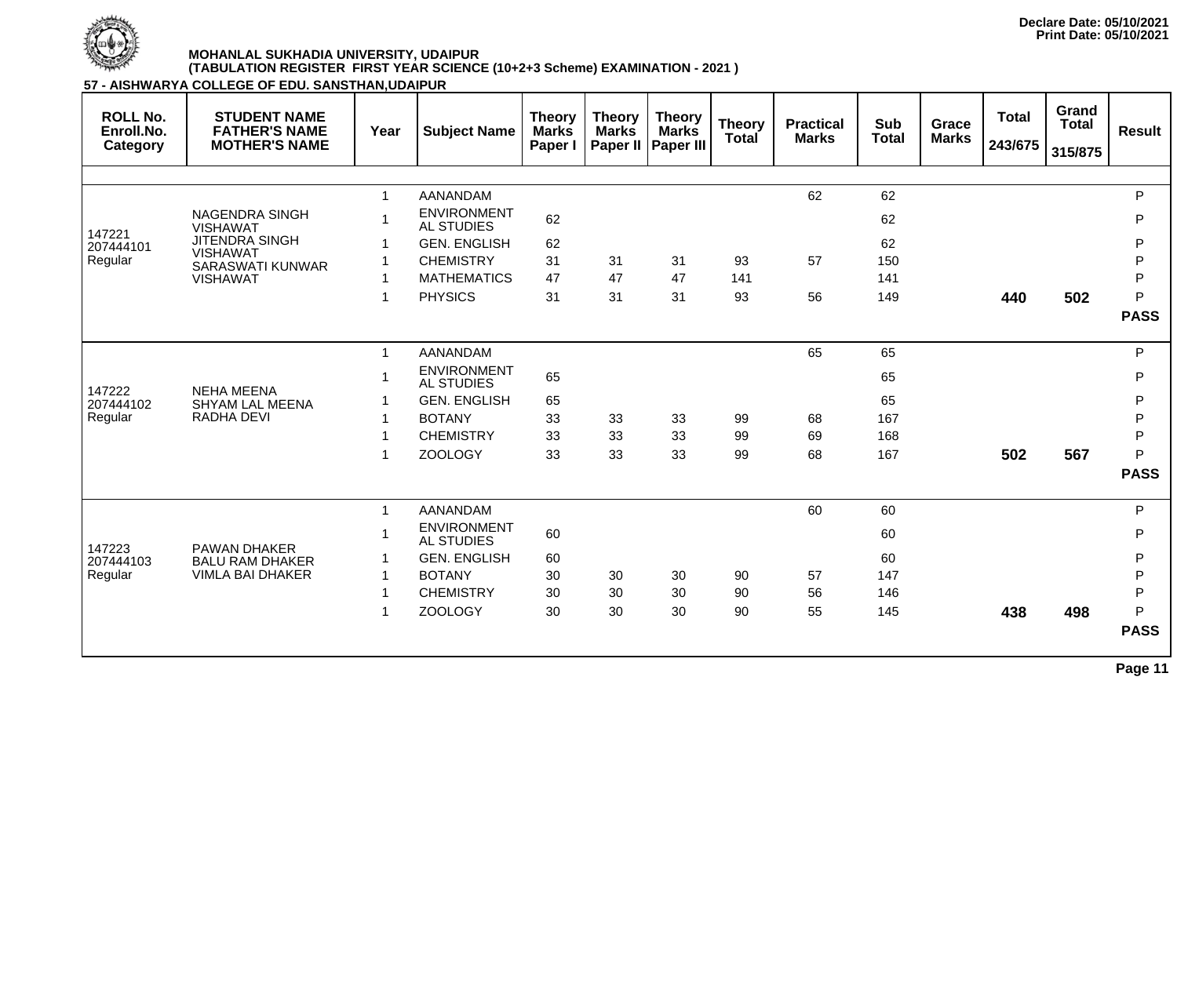

| <b>ROLL No.</b><br>Enroll.No.<br>Category | <b>STUDENT NAME</b><br><b>FATHER'S NAME</b><br><b>MOTHER'S NAME</b> | Year                     | <b>Subject Name</b>                     | <b>Theory</b><br><b>Marks</b><br>Paper I | <b>Theory</b><br><b>Marks</b><br>Paper II | <b>Theory</b><br><b>Marks</b><br>Paper III | <b>Theory</b><br>Total | <b>Practical</b><br><b>Marks</b> | <b>Sub</b><br><b>Total</b> | <b>Grace</b><br><b>Marks</b> | <b>Total</b><br>243/675 | Grand<br><b>Total</b><br>315/875 | <b>Result</b> |
|-------------------------------------------|---------------------------------------------------------------------|--------------------------|-----------------------------------------|------------------------------------------|-------------------------------------------|--------------------------------------------|------------------------|----------------------------------|----------------------------|------------------------------|-------------------------|----------------------------------|---------------|
|                                           |                                                                     |                          |                                         |                                          |                                           |                                            |                        |                                  |                            |                              |                         |                                  |               |
|                                           |                                                                     | $\mathbf{1}$             | <b>AANANDAM</b>                         |                                          |                                           |                                            |                        | 62                               | 62                         |                              |                         |                                  | P             |
| 147221                                    | <b>NAGENDRA SINGH</b><br><b>VISHAWAT</b>                            | $\overline{\phantom{a}}$ | <b>ENVIRONMENT</b><br><b>AL STUDIES</b> | 62                                       |                                           |                                            |                        |                                  | 62                         |                              |                         |                                  | $\mathsf{P}$  |
| 207444101                                 | <b>JITENDRA SINGH</b>                                               |                          | <b>GEN. ENGLISH</b>                     | 62                                       |                                           |                                            |                        |                                  | 62                         |                              |                         |                                  | P             |
| Regular                                   | <b>VISHAWAT</b><br><b>SARASWATI KUNWAR</b>                          |                          | <b>CHEMISTRY</b>                        | 31                                       | 31                                        | 31                                         | 93                     | 57                               | 150                        |                              |                         |                                  | P             |
|                                           | <b>VISHAWAT</b>                                                     | 1                        | <b>MATHEMATICS</b>                      | 47                                       | 47                                        | 47                                         | 141                    |                                  | 141                        |                              |                         |                                  | $\mathsf{P}$  |
|                                           |                                                                     | 1                        | <b>PHYSICS</b>                          | 31                                       | 31                                        | 31                                         | 93                     | 56                               | 149                        |                              | 440                     | 502                              | P             |
|                                           |                                                                     |                          |                                         |                                          |                                           |                                            |                        |                                  |                            |                              |                         |                                  | <b>PASS</b>   |
|                                           |                                                                     | $\mathbf 1$              | <b>AANANDAM</b>                         |                                          |                                           |                                            |                        | 65                               | 65                         |                              |                         |                                  | P             |
|                                           |                                                                     | -1                       | <b>ENVIRONMENT</b><br><b>AL STUDIES</b> | 65                                       |                                           |                                            |                        |                                  | 65                         |                              |                         |                                  | P             |
| 147222<br>207444102                       | <b>NEHA MEENA</b><br><b>SHYAM LAL MEENA</b>                         | -1                       | <b>GEN. ENGLISH</b>                     | 65                                       |                                           |                                            |                        |                                  | 65                         |                              |                         |                                  | P             |
| Regular                                   | <b>RADHA DEVI</b>                                                   |                          | <b>BOTANY</b>                           | 33                                       | 33                                        | 33                                         | 99                     | 68                               | 167                        |                              |                         |                                  | P             |
|                                           |                                                                     |                          | <b>CHEMISTRY</b>                        | 33                                       | 33                                        | 33                                         | 99                     | 69                               | 168                        |                              |                         |                                  | $\mathsf{P}$  |
|                                           |                                                                     | -1                       | <b>ZOOLOGY</b>                          | 33                                       | 33                                        | 33                                         | 99                     | 68                               | 167                        |                              | 502                     | 567                              | P             |
|                                           |                                                                     |                          |                                         |                                          |                                           |                                            |                        |                                  |                            |                              |                         |                                  | <b>PASS</b>   |
|                                           |                                                                     | $\mathbf 1$              | <b>AANANDAM</b>                         |                                          |                                           |                                            |                        | 60                               | 60                         |                              |                         |                                  | P             |
|                                           |                                                                     | 1                        | <b>ENVIRONMENT</b><br><b>AL STUDIES</b> | 60                                       |                                           |                                            |                        |                                  | 60                         |                              |                         |                                  | P             |
| 147223<br>207444103                       | <b>PAWAN DHAKER</b><br><b>BALU RAM DHAKER</b>                       |                          | <b>GEN. ENGLISH</b>                     | 60                                       |                                           |                                            |                        |                                  | 60                         |                              |                         |                                  | P             |
| Regular                                   | VIMLA BAI DHAKER                                                    | 1                        | <b>BOTANY</b>                           | 30                                       | 30                                        | 30                                         | 90                     | 57                               | 147                        |                              |                         |                                  | P             |
|                                           |                                                                     | 1                        | <b>CHEMISTRY</b>                        | 30                                       | 30                                        | 30                                         | 90                     | 56                               | 146                        |                              |                         |                                  | P             |
|                                           |                                                                     | 1                        | <b>ZOOLOGY</b>                          | 30                                       | 30                                        | 30                                         | 90                     | 55                               | 145                        |                              | 438                     | 498                              | P             |
|                                           |                                                                     |                          |                                         |                                          |                                           |                                            |                        |                                  |                            |                              |                         |                                  | <b>PASS</b>   |
|                                           |                                                                     |                          |                                         |                                          |                                           |                                            |                        |                                  |                            |                              |                         |                                  | Page 11       |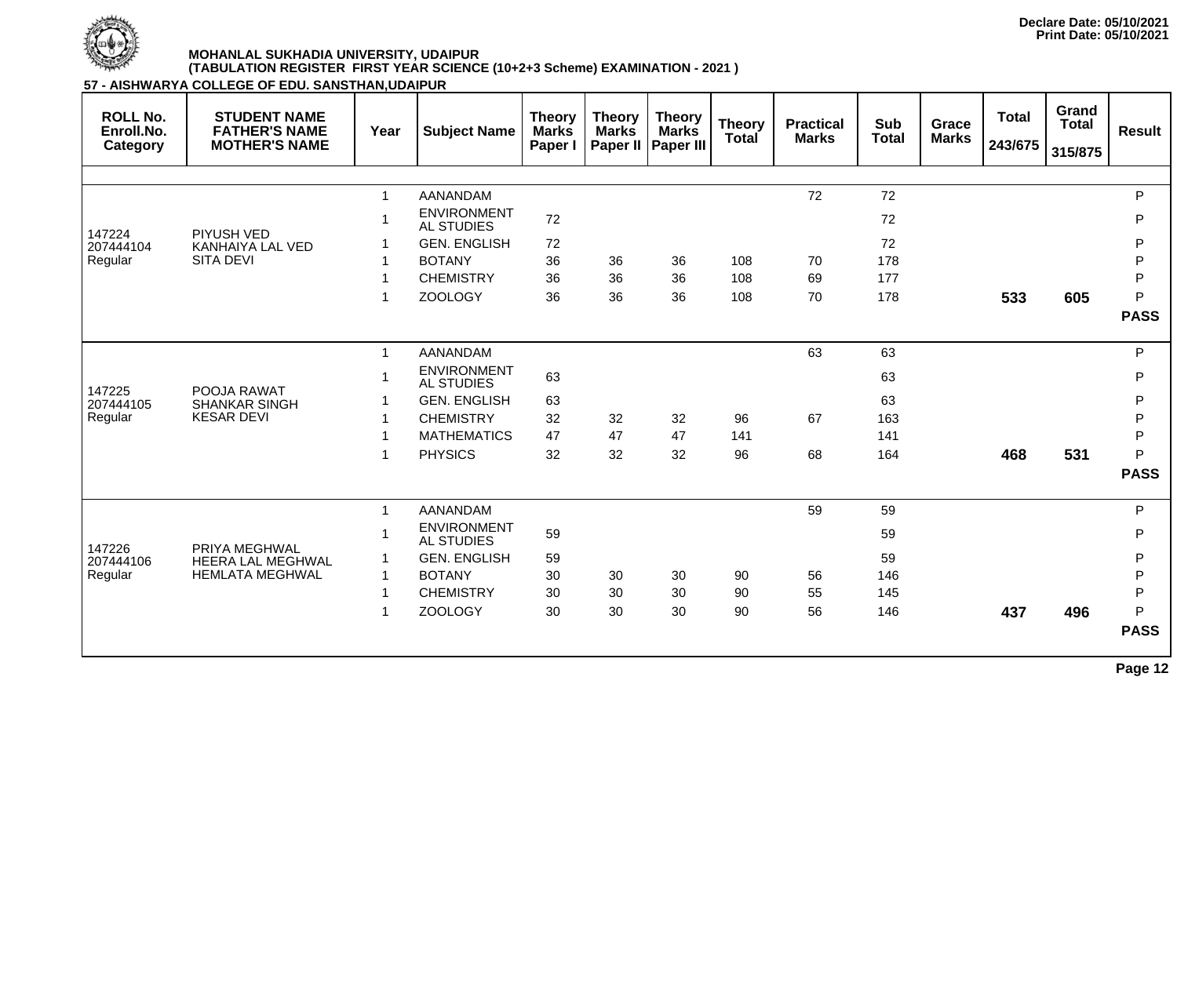

**57 - AISHWARYA COLLEGE OF EDU. SANSTHAN,UDAIPUR**

| <b>ROLL No.</b><br>Enroll.No.<br>Category | <b>STUDENT NAME</b><br><b>FATHER'S NAME</b><br><b>MOTHER'S NAME</b> | Year         | <b>Subject Name</b>                     | <b>Theory</b><br><b>Marks</b><br>Paper I | <b>Theory</b><br><b>Marks</b><br>Paper II | <b>Theory</b><br><b>Marks</b><br><b>Paper III</b> | <b>Theory</b><br>Total | <b>Practical</b><br><b>Marks</b> | <b>Sub</b><br><b>Total</b> | <b>Grace</b><br><b>Marks</b> | <b>Total</b><br>243/675 | Grand<br><b>Total</b><br>315/875 | <b>Result</b> |
|-------------------------------------------|---------------------------------------------------------------------|--------------|-----------------------------------------|------------------------------------------|-------------------------------------------|---------------------------------------------------|------------------------|----------------------------------|----------------------------|------------------------------|-------------------------|----------------------------------|---------------|
|                                           |                                                                     |              |                                         |                                          |                                           |                                                   |                        |                                  |                            |                              |                         |                                  |               |
|                                           |                                                                     | $\mathbf{1}$ | <b>AANANDAM</b>                         |                                          |                                           |                                                   |                        | 72                               | 72                         |                              |                         |                                  | P             |
| 147224                                    | <b>PIYUSH VED</b>                                                   |              | <b>ENVIRONMENT</b><br><b>AL STUDIES</b> | 72                                       |                                           |                                                   |                        |                                  | 72                         |                              |                         |                                  | P             |
| 207444104                                 | KANHAIYA LAL VED                                                    |              | <b>GEN. ENGLISH</b>                     | 72                                       |                                           |                                                   |                        |                                  | 72                         |                              |                         |                                  | P             |
| Regular                                   | <b>SITA DEVI</b>                                                    |              | <b>BOTANY</b>                           | 36                                       | 36                                        | 36                                                | 108                    | 70                               | 178                        |                              |                         |                                  | P             |
|                                           |                                                                     |              | <b>CHEMISTRY</b>                        | 36                                       | 36                                        | 36                                                | 108                    | 69                               | 177                        |                              |                         |                                  | P             |
|                                           |                                                                     |              | <b>ZOOLOGY</b>                          | 36                                       | 36                                        | 36                                                | 108                    | 70                               | 178                        |                              | 533                     | 605                              | P             |
|                                           |                                                                     |              |                                         |                                          |                                           |                                                   |                        |                                  |                            |                              |                         |                                  | <b>PASS</b>   |
|                                           |                                                                     | $\mathbf{1}$ | <b>AANANDAM</b>                         |                                          |                                           |                                                   |                        | 63                               | 63                         |                              |                         |                                  | $\mathsf{P}$  |
|                                           |                                                                     |              | <b>ENVIRONMENT</b><br><b>AL STUDIES</b> | 63                                       |                                           |                                                   |                        |                                  | 63                         |                              |                         |                                  | P             |
| 147225<br>207444105                       | POOJA RAWAT<br><b>SHANKAR SINGH</b>                                 |              | <b>GEN. ENGLISH</b>                     | 63                                       |                                           |                                                   |                        |                                  | 63                         |                              |                         |                                  | $\mathsf{P}$  |
| Regular                                   | <b>KESAR DEVI</b>                                                   |              | <b>CHEMISTRY</b>                        | 32                                       | 32                                        | 32                                                | 96                     | 67                               | 163                        |                              |                         |                                  | $\mathsf{P}$  |
|                                           |                                                                     |              | <b>MATHEMATICS</b>                      | 47                                       | 47                                        | 47                                                | 141                    |                                  | 141                        |                              |                         |                                  | P             |
|                                           |                                                                     |              | <b>PHYSICS</b>                          | 32                                       | 32                                        | 32                                                | 96                     | 68                               | 164                        |                              | 468                     | 531                              | P             |
|                                           |                                                                     |              |                                         |                                          |                                           |                                                   |                        |                                  |                            |                              |                         |                                  | <b>PASS</b>   |
|                                           |                                                                     | $\mathbf{1}$ | <b>AANANDAM</b>                         |                                          |                                           |                                                   |                        | 59                               | 59                         |                              |                         |                                  | P             |
|                                           | PRIYA MEGHWAL                                                       |              | <b>ENVIRONMENT</b><br><b>AL STUDIES</b> | 59                                       |                                           |                                                   |                        |                                  | 59                         |                              |                         |                                  | P             |
| 147226<br>207444106                       | <b>HEERA LAL MEGHWAL</b>                                            |              | <b>GEN. ENGLISH</b>                     | 59                                       |                                           |                                                   |                        |                                  | 59                         |                              |                         |                                  | P             |
| Regular                                   | <b>HEMLATA MEGHWAL</b>                                              | $\mathbf{1}$ | <b>BOTANY</b>                           | 30                                       | 30                                        | 30                                                | 90                     | 56                               | 146                        |                              |                         |                                  | P             |
|                                           |                                                                     |              | <b>CHEMISTRY</b>                        | 30                                       | 30                                        | 30                                                | 90                     | 55                               | 145                        |                              |                         |                                  | $\mathsf{P}$  |
|                                           |                                                                     |              | <b>ZOOLOGY</b>                          | 30                                       | 30                                        | 30                                                | 90                     | 56                               | 146                        |                              | 437                     | 496                              | P             |
|                                           |                                                                     |              |                                         |                                          |                                           |                                                   |                        |                                  |                            |                              |                         |                                  | <b>PASS</b>   |
|                                           |                                                                     |              |                                         |                                          |                                           |                                                   |                        |                                  |                            |                              |                         |                                  |               |

**Page 12**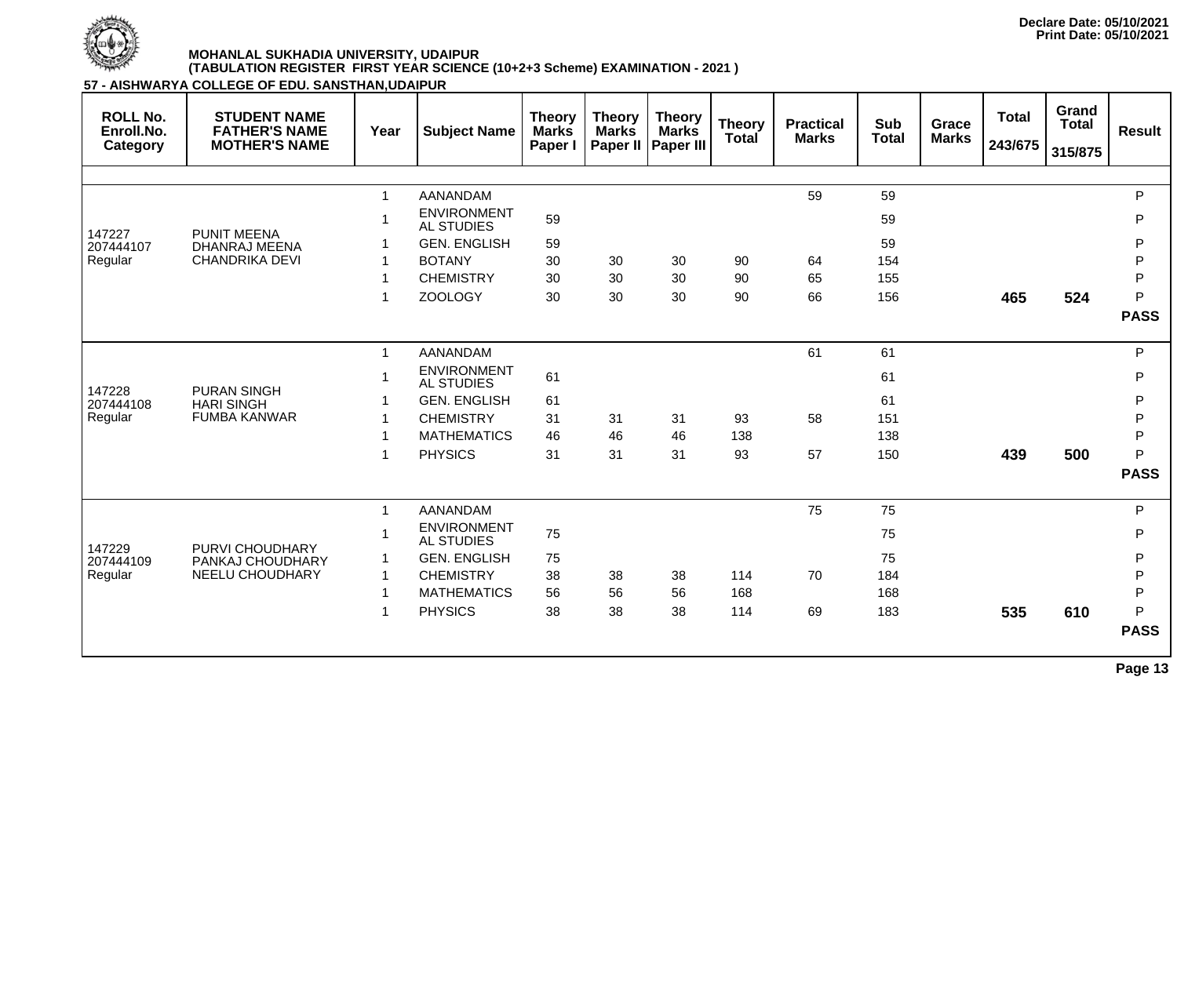

**57 - AISHWARYA COLLEGE OF EDU. SANSTHAN,UDAIPUR**

| <b>ROLL No.</b><br>Enroll.No.<br>Category | <b>STUDENT NAME</b><br><b>FATHER'S NAME</b><br><b>MOTHER'S NAME</b> | Year           | <b>Subject Name</b>                     | <b>Theory</b><br><b>Marks</b><br>Paper I | <b>Theory</b><br><b>Marks</b><br>Paper II | <b>Theory</b><br><b>Marks</b><br><b>Paper III</b> | <b>Theory</b><br><b>Total</b> | <b>Practical</b><br><b>Marks</b> | <b>Sub</b><br><b>Total</b> | <b>Grace</b><br><b>Marks</b> | <b>Total</b><br>243/675 | Grand<br><b>Total</b><br>315/875 | <b>Result</b> |
|-------------------------------------------|---------------------------------------------------------------------|----------------|-----------------------------------------|------------------------------------------|-------------------------------------------|---------------------------------------------------|-------------------------------|----------------------------------|----------------------------|------------------------------|-------------------------|----------------------------------|---------------|
|                                           |                                                                     |                |                                         |                                          |                                           |                                                   |                               |                                  |                            |                              |                         |                                  |               |
|                                           |                                                                     | $\overline{1}$ | <b>AANANDAM</b>                         |                                          |                                           |                                                   |                               | 59                               | 59                         |                              |                         |                                  | P             |
|                                           |                                                                     |                | <b>ENVIRONMENT</b><br><b>AL STUDIES</b> | 59                                       |                                           |                                                   |                               |                                  | 59                         |                              |                         |                                  | P             |
| 147227<br>207444107                       | <b>PUNIT MEENA</b><br><b>DHANRAJ MEENA</b>                          |                | <b>GEN. ENGLISH</b>                     | 59                                       |                                           |                                                   |                               |                                  | 59                         |                              |                         |                                  | P             |
| Regular                                   | <b>CHANDRIKA DEVI</b>                                               |                | <b>BOTANY</b>                           | 30                                       | 30                                        | 30                                                | 90                            | 64                               | 154                        |                              |                         |                                  | P             |
|                                           |                                                                     |                | <b>CHEMISTRY</b>                        | 30                                       | 30                                        | 30                                                | 90                            | 65                               | 155                        |                              |                         |                                  | $\mathsf{P}$  |
|                                           |                                                                     |                | <b>ZOOLOGY</b>                          | 30                                       | 30                                        | 30                                                | 90                            | 66                               | 156                        |                              | 465                     | 524                              | P             |
|                                           |                                                                     |                |                                         |                                          |                                           |                                                   |                               |                                  |                            |                              |                         |                                  | <b>PASS</b>   |
|                                           | <b>PURAN SINGH</b><br><b>HARI SINGH</b><br><b>FUMBA KANWAR</b>      | $\mathbf{1}$   | AANANDAM                                |                                          |                                           |                                                   |                               | 61                               | 61                         |                              |                         |                                  | P             |
|                                           |                                                                     |                | <b>ENVIRONMENT</b><br><b>AL STUDIES</b> | 61                                       |                                           |                                                   |                               |                                  | 61                         |                              |                         |                                  | P             |
| 147228<br>207444108                       |                                                                     |                | <b>GEN. ENGLISH</b>                     | 61                                       |                                           |                                                   |                               |                                  | 61                         |                              |                         |                                  | $\mathsf{P}$  |
| Regular                                   |                                                                     |                | <b>CHEMISTRY</b>                        | 31                                       | 31                                        | 31                                                | 93                            | 58                               | 151                        |                              |                         |                                  | P             |
|                                           |                                                                     |                | <b>MATHEMATICS</b>                      | 46                                       | 46                                        | 46                                                | 138                           |                                  | 138                        |                              |                         |                                  | $\mathsf{P}$  |
|                                           |                                                                     |                | <b>PHYSICS</b>                          | 31                                       | 31                                        | 31                                                | 93                            | 57                               | 150                        |                              | 439                     | 500                              | P             |
|                                           |                                                                     |                |                                         |                                          |                                           |                                                   |                               |                                  |                            |                              |                         |                                  | <b>PASS</b>   |
|                                           |                                                                     | $\mathbf 1$    | AANANDAM                                |                                          |                                           |                                                   |                               | 75                               | 75                         |                              |                         |                                  | P             |
|                                           |                                                                     |                | <b>ENVIRONMENT</b><br><b>AL STUDIES</b> | 75                                       |                                           |                                                   |                               |                                  | 75                         |                              |                         |                                  | P             |
| 147229<br>207444109                       | PURVI CHOUDHARY<br>PANKAJ CHOUDHARY                                 |                | <b>GEN. ENGLISH</b>                     | 75                                       |                                           |                                                   |                               |                                  | 75                         |                              |                         |                                  | P             |
| Regular                                   | <b>NEELU CHOUDHARY</b>                                              |                | <b>CHEMISTRY</b>                        | 38                                       | 38                                        | 38                                                | 114                           | 70                               | 184                        |                              |                         |                                  | P             |
|                                           |                                                                     |                | <b>MATHEMATICS</b>                      | 56                                       | 56                                        | 56                                                | 168                           |                                  | 168                        |                              |                         |                                  | P             |
|                                           |                                                                     |                | <b>PHYSICS</b>                          | 38                                       | 38                                        | 38                                                | 114                           | 69                               | 183                        |                              | 535                     | 610                              | P             |
|                                           |                                                                     |                |                                         |                                          |                                           |                                                   |                               |                                  |                            |                              |                         |                                  | <b>PASS</b>   |
|                                           |                                                                     |                |                                         |                                          |                                           |                                                   |                               |                                  |                            |                              |                         |                                  |               |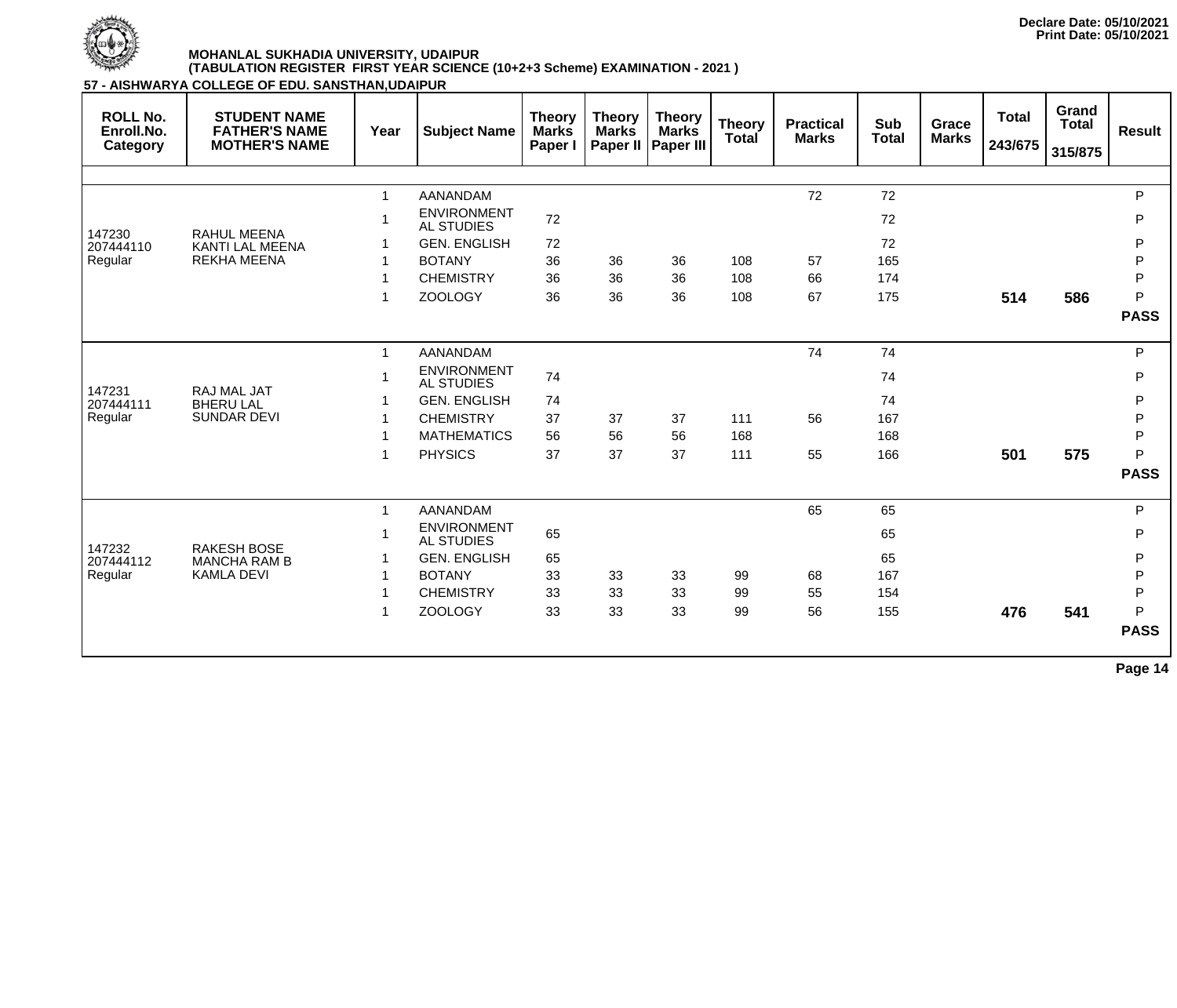

**57 - AISHWARYA COLLEGE OF EDU. SANSTHAN,UDAIPUR**

| <b>ROLL No.</b><br>Enroll.No.<br>Category | <b>STUDENT NAME</b><br><b>FATHER'S NAME</b><br><b>MOTHER'S NAME</b> | Year         | <b>Subject Name</b>                     | <b>Theory</b><br><b>Marks</b><br>Paper I | <b>Theory</b><br><b>Marks</b><br><b>Paper II</b> | <b>Theory</b><br><b>Marks</b><br><b>Paper III</b> | <b>Theory</b><br><b>Total</b> | <b>Practical</b><br><b>Marks</b> | <b>Sub</b><br><b>Total</b> | <b>Grace</b><br><b>Marks</b> | <b>Total</b><br>243/675 | Grand<br><b>Total</b><br>315/875 | <b>Result</b> |
|-------------------------------------------|---------------------------------------------------------------------|--------------|-----------------------------------------|------------------------------------------|--------------------------------------------------|---------------------------------------------------|-------------------------------|----------------------------------|----------------------------|------------------------------|-------------------------|----------------------------------|---------------|
|                                           |                                                                     |              |                                         |                                          |                                                  |                                                   |                               |                                  |                            |                              |                         |                                  |               |
|                                           |                                                                     | $\mathbf{1}$ | <b>AANANDAM</b>                         |                                          |                                                  |                                                   |                               | 72                               | 72                         |                              |                         |                                  | $\mathsf{P}$  |
|                                           |                                                                     | 1            | <b>ENVIRONMENT</b><br><b>AL STUDIES</b> | 72                                       |                                                  |                                                   |                               |                                  | 72                         |                              |                         |                                  | P             |
| 147230<br>207444110                       | <b>RAHUL MEENA</b><br><b>KANTI LAL MEENA</b>                        |              | <b>GEN. ENGLISH</b>                     | 72                                       |                                                  |                                                   |                               |                                  | 72                         |                              |                         |                                  | P             |
| Regular                                   | <b>REKHA MEENA</b>                                                  |              | <b>BOTANY</b>                           | 36                                       | 36                                               | 36                                                | 108                           | 57                               | 165                        |                              |                         |                                  | $\mathsf{P}$  |
|                                           |                                                                     | 1            | <b>CHEMISTRY</b>                        | 36                                       | 36                                               | 36                                                | 108                           | 66                               | 174                        |                              |                         |                                  | P             |
|                                           |                                                                     | 1            | <b>ZOOLOGY</b>                          | 36                                       | 36                                               | 36                                                | 108                           | 67                               | 175                        |                              | 514                     | 586                              | P             |
|                                           |                                                                     |              |                                         |                                          |                                                  |                                                   |                               |                                  |                            |                              |                         |                                  | <b>PASS</b>   |
|                                           | RAJ MAL JAT<br><b>BHERU LAL</b><br><b>SUNDAR DEVI</b>               | $\mathbf 1$  | <b>AANANDAM</b>                         |                                          |                                                  |                                                   |                               | 74                               | 74                         |                              |                         |                                  | P             |
|                                           |                                                                     |              | <b>ENVIRONMENT</b><br><b>AL STUDIES</b> | 74                                       |                                                  |                                                   |                               |                                  | 74                         |                              |                         |                                  | P             |
| 147231<br>207444111                       |                                                                     |              | <b>GEN. ENGLISH</b>                     | 74                                       |                                                  |                                                   |                               |                                  | 74                         |                              |                         |                                  | $\mathsf{P}$  |
| Regular                                   |                                                                     |              | <b>CHEMISTRY</b>                        | 37                                       | 37                                               | 37                                                | 111                           | 56                               | 167                        |                              |                         |                                  | P             |
|                                           |                                                                     | 1            | <b>MATHEMATICS</b>                      | 56                                       | 56                                               | 56                                                | 168                           |                                  | 168                        |                              |                         |                                  | P             |
|                                           |                                                                     | 1            | <b>PHYSICS</b>                          | 37                                       | 37                                               | 37                                                | 111                           | 55                               | 166                        |                              | 501                     | 575                              | P             |
|                                           |                                                                     |              |                                         |                                          |                                                  |                                                   |                               |                                  |                            |                              |                         |                                  | <b>PASS</b>   |
|                                           |                                                                     | $\mathbf 1$  | <b>AANANDAM</b>                         |                                          |                                                  |                                                   |                               | 65                               | 65                         |                              |                         |                                  | $\mathsf{P}$  |
|                                           |                                                                     |              | <b>ENVIRONMENT</b><br><b>AL STUDIES</b> | 65                                       |                                                  |                                                   |                               |                                  | 65                         |                              |                         |                                  | P             |
| 147232<br>207444112                       | <b>RAKESH BOSE</b><br><b>MANCHA RAM B</b>                           |              | <b>GEN. ENGLISH</b>                     | 65                                       |                                                  |                                                   |                               |                                  | 65                         |                              |                         |                                  | P             |
| Regular                                   | <b>KAMLA DEVI</b>                                                   |              | <b>BOTANY</b>                           | 33                                       | 33                                               | 33                                                | 99                            | 68                               | 167                        |                              |                         |                                  | P             |
|                                           |                                                                     |              | <b>CHEMISTRY</b>                        | 33                                       | 33                                               | 33                                                | 99                            | 55                               | 154                        |                              |                         |                                  | P             |
|                                           |                                                                     | 1            | <b>ZOOLOGY</b>                          | 33                                       | 33                                               | 33                                                | 99                            | 56                               | 155                        |                              | 476                     | 541                              | P             |
|                                           |                                                                     |              |                                         |                                          |                                                  |                                                   |                               |                                  |                            |                              |                         |                                  | <b>PASS</b>   |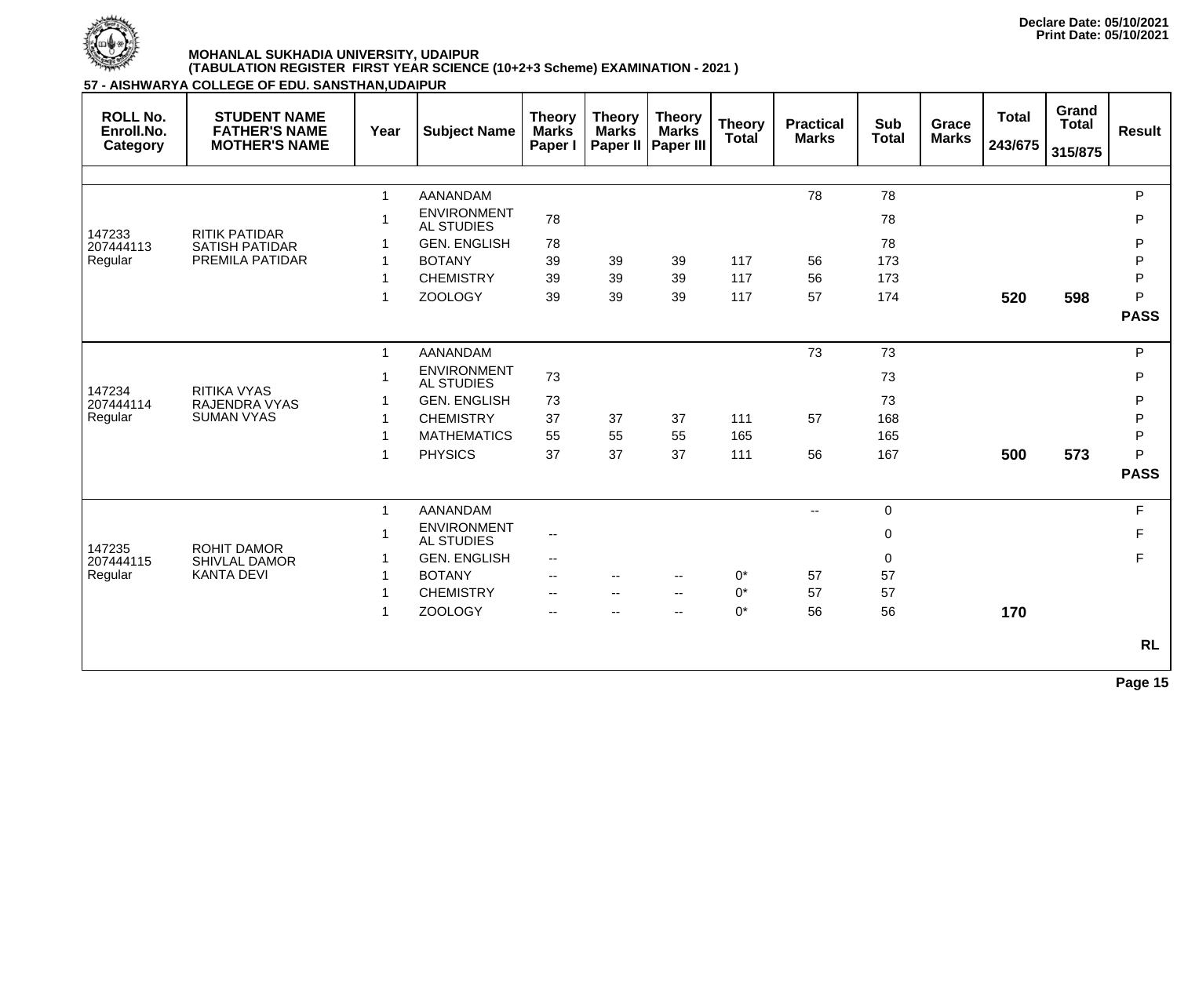

**57 - AISHWARYA COLLEGE OF EDU. SANSTHAN,UDAIPUR**

| <b>ROLL No.</b><br>Enroll.No.<br>Category | <b>STUDENT NAME</b><br><b>FATHER'S NAME</b><br><b>MOTHER'S NAME</b> | Year         | <b>Subject Name</b>                     | <b>Theory</b><br><b>Marks</b><br>Paper I | <b>Theory</b><br><b>Marks</b><br>Paper II | <b>Theory</b><br><b>Marks</b><br><b>Paper III</b> | <b>Theory</b><br><b>Total</b> | <b>Practical</b><br><b>Marks</b> | <b>Sub</b><br><b>Total</b> | Grace<br><b>Marks</b> | <b>Total</b><br>243/675 | Grand<br><b>Total</b><br>315/875 | <b>Result</b> |
|-------------------------------------------|---------------------------------------------------------------------|--------------|-----------------------------------------|------------------------------------------|-------------------------------------------|---------------------------------------------------|-------------------------------|----------------------------------|----------------------------|-----------------------|-------------------------|----------------------------------|---------------|
|                                           |                                                                     |              |                                         |                                          |                                           |                                                   |                               |                                  |                            |                       |                         |                                  |               |
|                                           |                                                                     |              | <b>AANANDAM</b>                         |                                          |                                           |                                                   |                               | 78                               | 78                         |                       |                         |                                  | P             |
| 147233                                    | <b>RITIK PATIDAR</b>                                                |              | <b>ENVIRONMENT</b><br><b>AL STUDIES</b> | 78                                       |                                           |                                                   |                               |                                  | 78                         |                       |                         |                                  | P             |
| 207444113                                 | <b>SATISH PATIDAR</b>                                               |              | <b>GEN. ENGLISH</b>                     | 78                                       |                                           |                                                   |                               |                                  | 78                         |                       |                         |                                  | P             |
| Regular                                   | PREMILA PATIDAR                                                     |              | <b>BOTANY</b>                           | 39                                       | 39                                        | 39                                                | 117                           | 56                               | 173                        |                       |                         |                                  | P             |
|                                           |                                                                     |              | <b>CHEMISTRY</b>                        | 39                                       | 39                                        | 39                                                | 117                           | 56                               | 173                        |                       |                         |                                  | $\mathsf{P}$  |
|                                           |                                                                     |              | <b>ZOOLOGY</b>                          | 39                                       | 39                                        | 39                                                | 117                           | 57                               | 174                        |                       | 520                     | 598                              | P             |
|                                           |                                                                     |              |                                         |                                          |                                           |                                                   |                               |                                  |                            |                       |                         |                                  | <b>PASS</b>   |
|                                           |                                                                     | $\mathbf 1$  | <b>AANANDAM</b>                         |                                          |                                           |                                                   |                               | 73                               | 73                         |                       |                         |                                  | P.            |
|                                           |                                                                     |              | <b>ENVIRONMENT</b><br><b>AL STUDIES</b> | 73                                       |                                           |                                                   |                               |                                  | 73                         |                       |                         |                                  | P             |
| 147234<br>207444114                       | <b>RITIKA VYAS</b><br>RAJENDRA VYAS                                 |              | <b>GEN. ENGLISH</b>                     | 73                                       |                                           |                                                   |                               |                                  | 73                         |                       |                         |                                  | P             |
| Regular                                   | <b>SUMAN VYAS</b>                                                   |              | <b>CHEMISTRY</b>                        | 37                                       | 37                                        | 37                                                | 111                           | 57                               | 168                        |                       |                         |                                  | P             |
|                                           |                                                                     |              | <b>MATHEMATICS</b>                      | 55                                       | 55                                        | 55                                                | 165                           |                                  | 165                        |                       |                         |                                  | P             |
|                                           |                                                                     |              | <b>PHYSICS</b>                          | 37                                       | 37                                        | 37                                                | 111                           | 56                               | 167                        |                       | 500                     | 573                              | P             |
|                                           |                                                                     |              |                                         |                                          |                                           |                                                   |                               |                                  |                            |                       |                         |                                  | <b>PASS</b>   |
|                                           |                                                                     | $\mathbf{1}$ | <b>AANANDAM</b>                         |                                          |                                           |                                                   |                               | $\overline{\phantom{a}}$         | $\overline{0}$             |                       |                         |                                  | F             |
|                                           |                                                                     |              | <b>ENVIRONMENT</b><br><b>AL STUDIES</b> | $\overline{\phantom{m}}$                 |                                           |                                                   |                               |                                  | $\mathbf 0$                |                       |                         |                                  | F             |
| 147235<br>207444115                       | <b>ROHIT DAMOR</b><br><b>SHIVLAL DAMOR</b>                          |              | <b>GEN. ENGLISH</b>                     | $\overline{\phantom{a}}$                 |                                           |                                                   |                               |                                  | $\mathbf 0$                |                       |                         |                                  | $\mathsf F$   |
| Regular                                   | <b>KANTA DEVI</b>                                                   |              | <b>BOTANY</b>                           | $\overline{\phantom{a}}$                 | $ -$                                      | $\overline{\phantom{m}}$                          | $0^*$                         | 57                               | 57                         |                       |                         |                                  |               |
|                                           |                                                                     |              | <b>CHEMISTRY</b>                        | $\overline{\phantom{a}}$                 | $-$                                       | $-$                                               | $0^*$                         | 57                               | 57                         |                       |                         |                                  |               |
|                                           |                                                                     |              | <b>ZOOLOGY</b>                          | $\overline{\phantom{a}}$                 |                                           | $-$                                               | $0^*$                         | 56                               | 56                         |                       | 170                     |                                  |               |
|                                           |                                                                     |              |                                         |                                          |                                           |                                                   |                               |                                  |                            |                       |                         |                                  | <b>RL</b>     |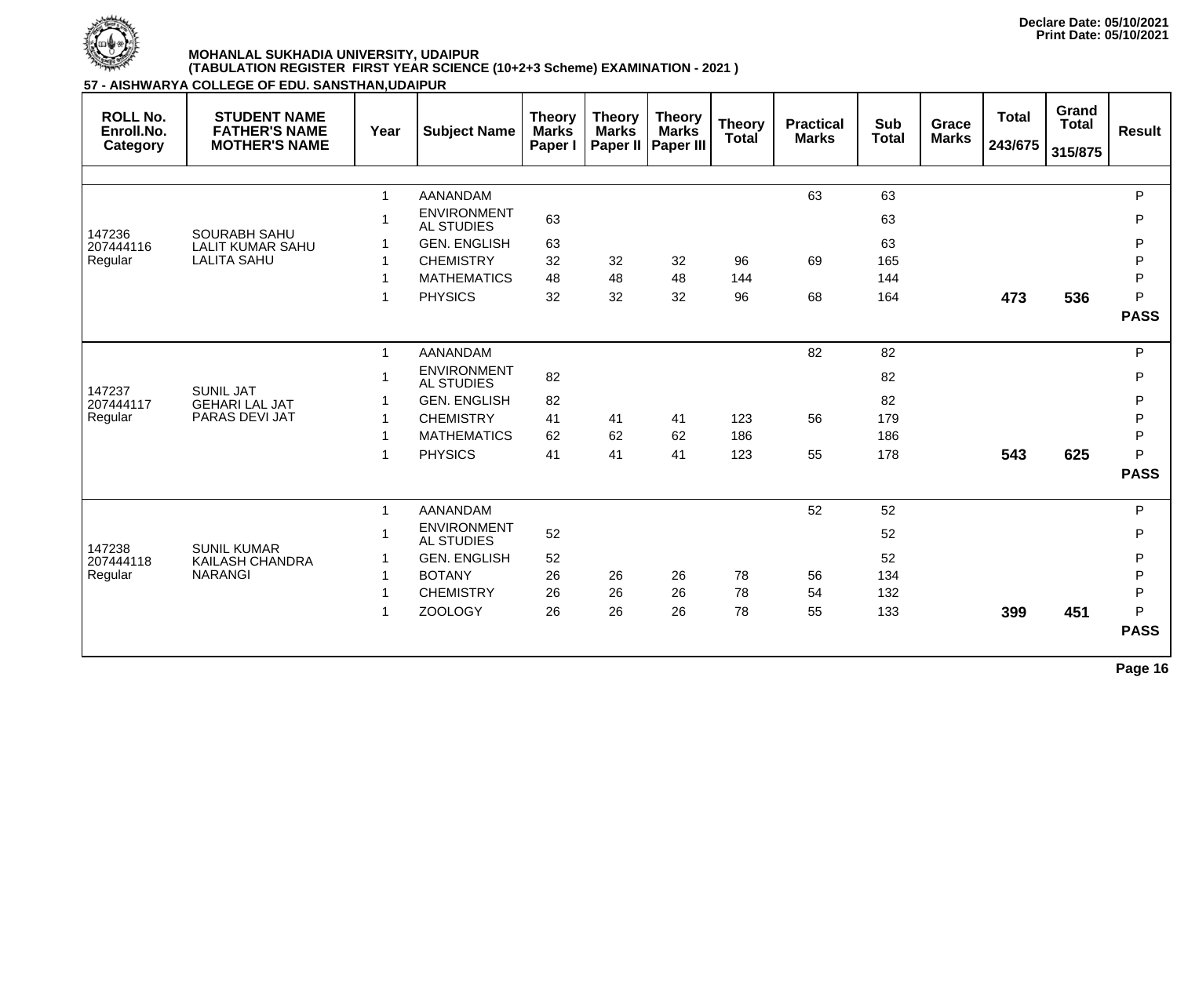

**57 - AISHWARYA COLLEGE OF EDU. SANSTHAN,UDAIPUR**

| <b>ROLL No.</b><br>Enroll.No.<br><b>Category</b> | <b>STUDENT NAME</b><br><b>FATHER'S NAME</b><br><b>MOTHER'S NAME</b> | Year         | <b>Subject Name</b>                     | <b>Theory</b><br><b>Marks</b><br>Paper I | <b>Theory</b><br><b>Marks</b> | <b>Theory</b><br><b>Marks</b><br>Paper II   Paper III | <b>Theory</b><br>Total | <b>Practical</b><br><b>Marks</b> | <b>Sub</b><br><b>Total</b> | Grace<br><b>Marks</b> | <b>Total</b><br>243/675 | Grand<br><b>Total</b><br>315/875 | <b>Result</b> |
|--------------------------------------------------|---------------------------------------------------------------------|--------------|-----------------------------------------|------------------------------------------|-------------------------------|-------------------------------------------------------|------------------------|----------------------------------|----------------------------|-----------------------|-------------------------|----------------------------------|---------------|
|                                                  |                                                                     |              |                                         |                                          |                               |                                                       |                        |                                  |                            |                       |                         |                                  |               |
|                                                  |                                                                     | $\mathbf{1}$ | <b>AANANDAM</b>                         |                                          |                               |                                                       |                        | 63                               | 63                         |                       |                         |                                  | P             |
|                                                  |                                                                     | $\mathbf 1$  | <b>ENVIRONMENT</b><br><b>AL STUDIES</b> | 63                                       |                               |                                                       |                        |                                  | 63                         |                       |                         |                                  | P             |
| 147236<br>207444116                              | <b>SOURABH SAHU</b><br><b>LALIT KUMAR SAHU</b>                      |              | <b>GEN. ENGLISH</b>                     | 63                                       |                               |                                                       |                        |                                  | 63                         |                       |                         |                                  | P             |
| Regular                                          | <b>LALITA SAHU</b>                                                  | 1            | <b>CHEMISTRY</b>                        | 32                                       | 32                            | 32                                                    | 96                     | 69                               | 165                        |                       |                         |                                  | P             |
|                                                  |                                                                     | 1            | <b>MATHEMATICS</b>                      | 48                                       | 48                            | 48                                                    | 144                    |                                  | 144                        |                       |                         |                                  | P             |
|                                                  |                                                                     | $\mathbf 1$  | <b>PHYSICS</b>                          | 32                                       | 32                            | 32                                                    | 96                     | 68                               | 164                        |                       | 473                     | 536                              | P             |
|                                                  |                                                                     |              |                                         |                                          |                               |                                                       |                        |                                  |                            |                       |                         |                                  | <b>PASS</b>   |
|                                                  | <b>SUNIL JAT</b><br><b>GEHARI LAL JAT</b><br>PARAS DEVI JAT         | $\mathbf{1}$ | AANANDAM                                |                                          |                               |                                                       |                        | 82                               | 82                         |                       |                         |                                  | P             |
|                                                  |                                                                     |              | <b>ENVIRONMENT</b><br><b>AL STUDIES</b> | 82                                       |                               |                                                       |                        |                                  | 82                         |                       |                         |                                  | P             |
| 147237<br>207444117                              |                                                                     |              | <b>GEN. ENGLISH</b>                     | 82                                       |                               |                                                       |                        |                                  | 82                         |                       |                         |                                  | P             |
| Regular                                          |                                                                     | $\mathbf 1$  | <b>CHEMISTRY</b>                        | 41                                       | 41                            | 41                                                    | 123                    | 56                               | 179                        |                       |                         |                                  | P             |
|                                                  |                                                                     |              | <b>MATHEMATICS</b>                      | 62                                       | 62                            | 62                                                    | 186                    |                                  | 186                        |                       |                         |                                  | P             |
|                                                  |                                                                     | 1            | <b>PHYSICS</b>                          | 41                                       | 41                            | 41                                                    | 123                    | 55                               | 178                        |                       | 543                     | 625                              | P             |
|                                                  |                                                                     |              |                                         |                                          |                               |                                                       |                        |                                  |                            |                       |                         |                                  | <b>PASS</b>   |
|                                                  |                                                                     | $\mathbf{1}$ | AANANDAM                                |                                          |                               |                                                       |                        | 52                               | 52                         |                       |                         |                                  | P             |
| 147238                                           | <b>SUNIL KUMAR</b>                                                  | 1            | <b>ENVIRONMENT</b><br><b>AL STUDIES</b> | 52                                       |                               |                                                       |                        |                                  | 52                         |                       |                         |                                  | P             |
| 207444118                                        | <b>KAILASH CHANDRA</b>                                              |              | <b>GEN. ENGLISH</b>                     | 52                                       |                               |                                                       |                        |                                  | 52                         |                       |                         |                                  | P             |
| Regular                                          | <b>NARANGI</b>                                                      |              | <b>BOTANY</b>                           | 26                                       | 26                            | 26                                                    | 78                     | 56                               | 134                        |                       |                         |                                  | P             |
|                                                  |                                                                     |              | <b>CHEMISTRY</b>                        | 26                                       | 26                            | 26                                                    | 78                     | 54                               | 132                        |                       |                         |                                  | $\mathsf{P}$  |
|                                                  |                                                                     | 1            | <b>ZOOLOGY</b>                          | 26                                       | 26                            | 26                                                    | 78                     | 55                               | 133                        |                       | 399                     | 451                              | P             |
|                                                  |                                                                     |              |                                         |                                          |                               |                                                       |                        |                                  |                            |                       |                         |                                  | <b>PASS</b>   |
|                                                  |                                                                     |              |                                         |                                          |                               |                                                       |                        |                                  |                            |                       |                         |                                  |               |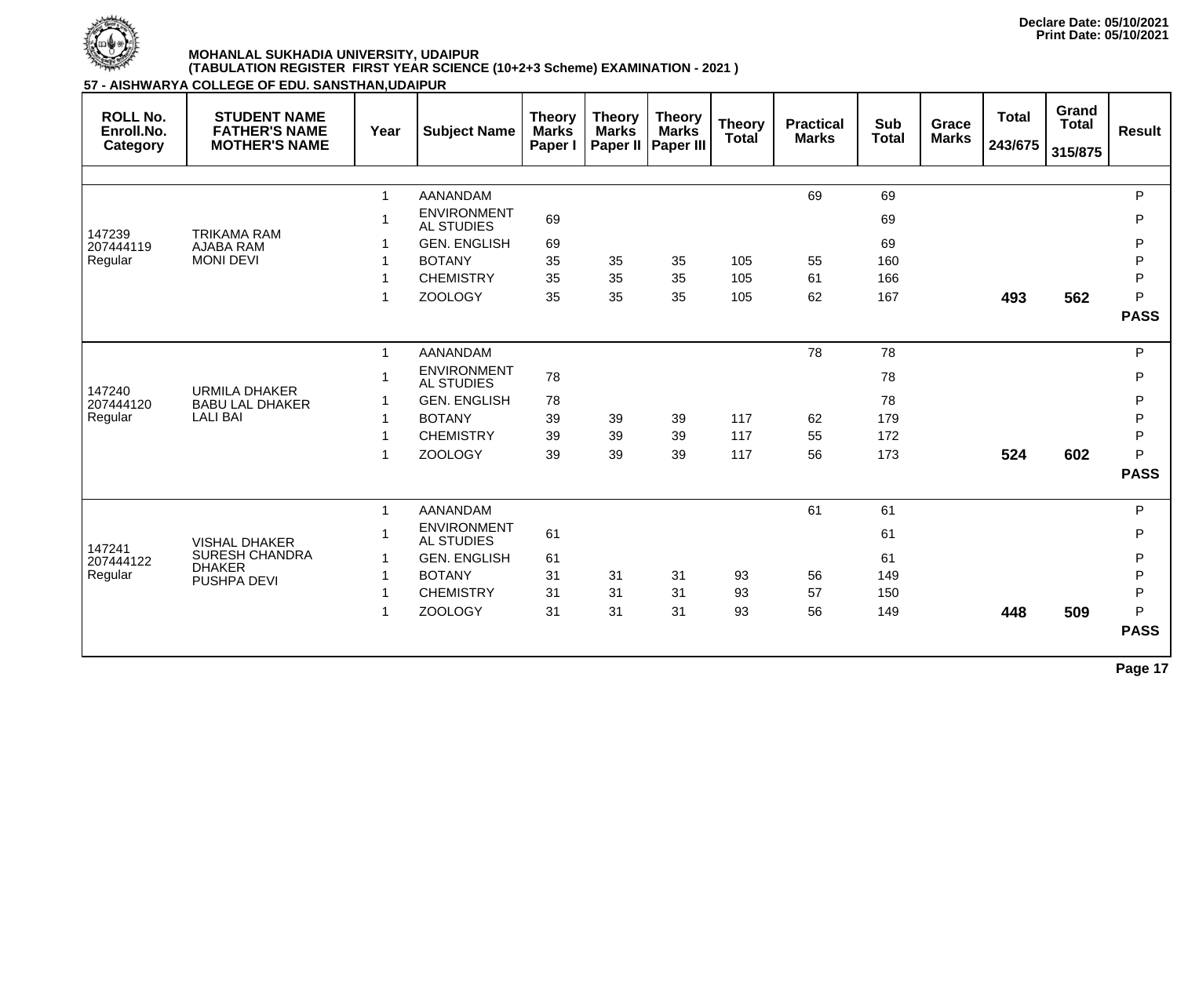

| <b>ROLL No.</b><br>Enroll.No.<br>Category | <b>STUDENT NAME</b><br><b>FATHER'S NAME</b><br><b>MOTHER'S NAME</b> | Year         | <b>Subject Name</b>                     | <b>Theory</b><br><b>Marks</b><br>Paper I | <b>Theory</b><br><b>Marks</b> | <b>Theory</b><br><b>Marks</b><br>Paper II   Paper III | <b>Theory</b><br><b>Total</b> | <b>Practical</b><br><b>Marks</b> | <b>Sub</b><br><b>Total</b> | Grace<br><b>Marks</b> | <b>Total</b><br>243/675 | Grand<br><b>Total</b><br>315/875 | <b>Result</b> |
|-------------------------------------------|---------------------------------------------------------------------|--------------|-----------------------------------------|------------------------------------------|-------------------------------|-------------------------------------------------------|-------------------------------|----------------------------------|----------------------------|-----------------------|-------------------------|----------------------------------|---------------|
|                                           |                                                                     |              |                                         |                                          |                               |                                                       |                               |                                  |                            |                       |                         |                                  |               |
|                                           |                                                                     | 1            | <b>AANANDAM</b>                         |                                          |                               |                                                       |                               | 69                               | 69                         |                       |                         |                                  | ${\sf P}$     |
| 147239                                    | <b>TRIKAMA RAM</b>                                                  |              | <b>ENVIRONMENT</b><br><b>AL STUDIES</b> | 69                                       |                               |                                                       |                               |                                  | 69                         |                       |                         |                                  | ${\sf P}$     |
| 207444119                                 | <b>AJABA RAM</b>                                                    |              | <b>GEN. ENGLISH</b>                     | 69                                       |                               |                                                       |                               |                                  | 69                         |                       |                         |                                  | P             |
| Regular                                   | <b>MONI DEVI</b>                                                    |              | <b>BOTANY</b>                           | 35                                       | 35                            | 35                                                    | 105                           | 55                               | 160                        |                       |                         |                                  | ${\sf P}$     |
|                                           |                                                                     |              | <b>CHEMISTRY</b>                        | 35                                       | 35                            | 35                                                    | 105                           | 61                               | 166                        |                       |                         |                                  | P             |
|                                           |                                                                     | 1            | <b>ZOOLOGY</b>                          | 35                                       | 35                            | 35                                                    | 105                           | 62                               | 167                        |                       | 493                     | 562                              | P             |
|                                           |                                                                     |              |                                         |                                          |                               |                                                       |                               |                                  |                            |                       |                         |                                  | <b>PASS</b>   |
|                                           | <b>URMILA DHAKER</b><br><b>BABU LAL DHAKER</b><br><b>LALI BAI</b>   | $\mathbf 1$  | <b>AANANDAM</b>                         |                                          |                               |                                                       |                               | 78                               | 78                         |                       |                         |                                  | P             |
|                                           |                                                                     | 1            | <b>ENVIRONMENT</b><br><b>AL STUDIES</b> | 78                                       |                               |                                                       |                               |                                  | 78                         |                       |                         |                                  | P             |
| 147240<br>207444120                       |                                                                     |              | <b>GEN. ENGLISH</b>                     | 78                                       |                               |                                                       |                               |                                  | 78                         |                       |                         |                                  | P             |
| Regular                                   |                                                                     |              | <b>BOTANY</b>                           | 39                                       | 39                            | 39                                                    | 117                           | 62                               | 179                        |                       |                         |                                  | P             |
|                                           |                                                                     |              | <b>CHEMISTRY</b>                        | 39                                       | 39                            | 39                                                    | 117                           | 55                               | 172                        |                       |                         |                                  | P             |
|                                           |                                                                     | 1            | <b>ZOOLOGY</b>                          | 39                                       | 39                            | 39                                                    | 117                           | 56                               | 173                        |                       | 524                     | 602                              | P             |
|                                           |                                                                     |              |                                         |                                          |                               |                                                       |                               |                                  |                            |                       |                         |                                  | <b>PASS</b>   |
|                                           |                                                                     | $\mathbf{1}$ | <b>AANANDAM</b>                         |                                          |                               |                                                       |                               | 61                               | 61                         |                       |                         |                                  | $\mathsf{P}$  |
|                                           | <b>VISHAL DHAKER</b>                                                |              | <b>ENVIRONMENT</b><br><b>AL STUDIES</b> | 61                                       |                               |                                                       |                               |                                  | 61                         |                       |                         |                                  | $\mathsf{P}$  |
| 147241<br>207444122                       | <b>SURESH CHANDRA</b>                                               | 1            | <b>GEN. ENGLISH</b>                     | 61                                       |                               |                                                       |                               |                                  | 61                         |                       |                         |                                  | P             |
| Regular                                   | <b>DHAKER</b><br><b>PUSHPA DEVI</b>                                 |              | <b>BOTANY</b>                           | 31                                       | 31                            | 31                                                    | 93                            | 56                               | 149                        |                       |                         |                                  | ${\sf P}$     |
|                                           |                                                                     |              | <b>CHEMISTRY</b>                        | 31                                       | 31                            | 31                                                    | 93                            | 57                               | 150                        |                       |                         |                                  | $\mathsf{P}$  |
|                                           |                                                                     | 1            | <b>ZOOLOGY</b>                          | 31                                       | 31                            | 31                                                    | 93                            | 56                               | 149                        |                       | 448                     | 509                              | P             |
|                                           |                                                                     |              |                                         |                                          |                               |                                                       |                               |                                  |                            |                       |                         |                                  | <b>PASS</b>   |
|                                           |                                                                     |              |                                         |                                          |                               |                                                       |                               |                                  |                            |                       |                         |                                  | Page 17       |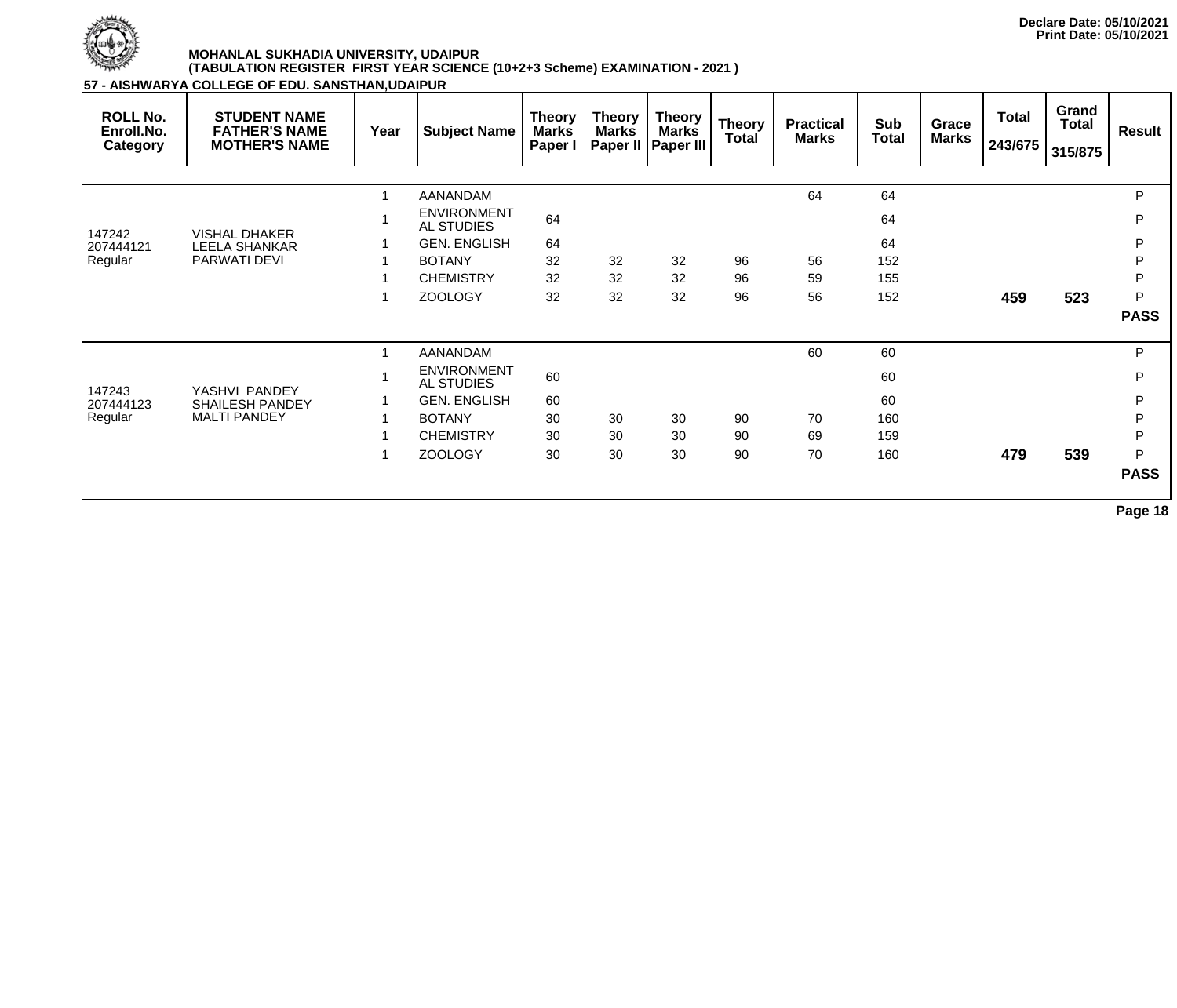

Regular

#### **MOHANLAL SUKHADIA UNIVERSITY, UDAIPUR (TABULATION REGISTER FIRST YEAR SCIENCE (10+2+3 Scheme) EXAMINATION - 2021 )**

**57 - AIS** 

MALTI PANDEY

| <b>STUDENT NAME</b><br><b>FATHER'S NAME</b><br><b>MOTHER'S NAME</b> | Year          | <b>Subject Name</b> | <b>Theory</b><br><b>Marks</b><br>Paper I                                                                                                                      | <b>Theory</b><br><b>Marks</b> | <b>Theory</b><br><b>Marks</b> | <b>Theory</b><br>Total | <b>Practical</b><br><b>Marks</b> | Sub<br><b>Total</b> | Grace<br><b>Marks</b> | <b>Total</b><br>243/675 | Grand<br><b>Total</b><br>315/875 | <b>Result</b> |
|---------------------------------------------------------------------|---------------|---------------------|---------------------------------------------------------------------------------------------------------------------------------------------------------------|-------------------------------|-------------------------------|------------------------|----------------------------------|---------------------|-----------------------|-------------------------|----------------------------------|---------------|
|                                                                     |               |                     |                                                                                                                                                               |                               |                               |                        |                                  |                     |                       |                         |                                  |               |
|                                                                     |               | <b>AANANDAM</b>     |                                                                                                                                                               |                               |                               |                        | 64                               | 64                  |                       |                         |                                  | P             |
| <b>VISHAL DHAKER</b><br><b>LEELA SHANKAR</b><br><b>PARWATI DEVI</b> |               |                     | 64                                                                                                                                                            |                               |                               |                        |                                  | 64                  |                       |                         |                                  | P             |
|                                                                     |               | <b>GEN. ENGLISH</b> | 64                                                                                                                                                            |                               |                               |                        |                                  | 64                  |                       |                         |                                  | P             |
|                                                                     |               | <b>BOTANY</b>       | 32                                                                                                                                                            | 32                            | 32                            | 96                     | 56                               | 152                 |                       |                         |                                  | D             |
|                                                                     |               |                     | 32                                                                                                                                                            | 32                            | 32                            | 96                     | 59                               | 155                 |                       |                         |                                  | D             |
|                                                                     |               |                     | 32                                                                                                                                                            | 32                            | 32                            | 96                     | 56                               | 152                 |                       | 459                     | 523                              | P             |
|                                                                     |               |                     |                                                                                                                                                               |                               |                               |                        |                                  |                     |                       |                         |                                  | <b>PASS</b>   |
|                                                                     |               | AANANDAM            |                                                                                                                                                               |                               |                               |                        | 60                               | 60                  |                       |                         |                                  | P             |
|                                                                     |               |                     | 60                                                                                                                                                            |                               |                               |                        |                                  | 60                  |                       |                         |                                  | P             |
| <b>SHAILESH PANDEY</b>                                              |               | <b>GEN. ENGLISH</b> | 60                                                                                                                                                            |                               |                               |                        |                                  | 60                  |                       |                         |                                  | P             |
|                                                                     | YASHVI PANDEY |                     | 57 - AISHWARYA COLLEGE OF EDU. SANSTHAN,UDAIPUR<br><b>ENVIRONMENT</b><br>AL STUDIES<br><b>CHEMISTRY</b><br><b>ZOOLOGY</b><br><b>ENVIRONMENT</b><br>AL STUDIES |                               | <b>Paper II</b>               | <b>Paper III</b>       |                                  |                     |                       |                         |                                  |               |

SHAILESH PANDEY 1 BOTANY 30 30 30 90 70 160 P 1 CHEMISTRY 30 30 30 90 69 159 P 1 ZOOLOGY 30 30 30 90 70 160 **479 539** P **PASS**